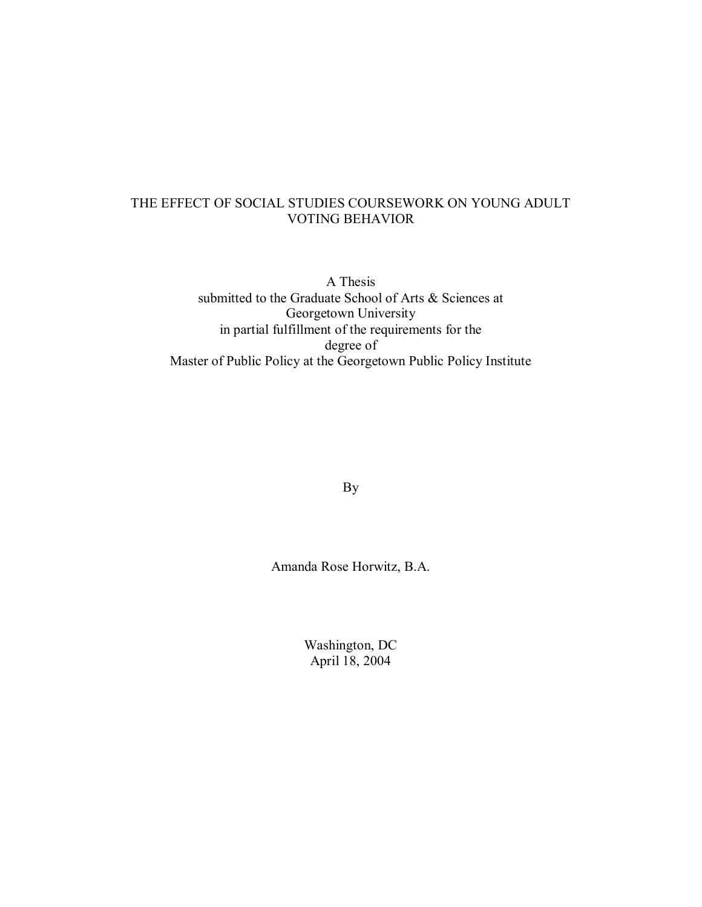# THE EFFECT OF SOCIAL STUDIES COURSEWORK ON YOUNG ADULT VOTING BEHAVIOR

A Thesis submitted to the Graduate School of Arts & Sciences at Georgetown University in partial fulfillment of the requirements for the degree of Master of Public Policy at the Georgetown Public Policy Institute

By

Amanda Rose Horwitz, B.A.

Washington, DC April 18, 2004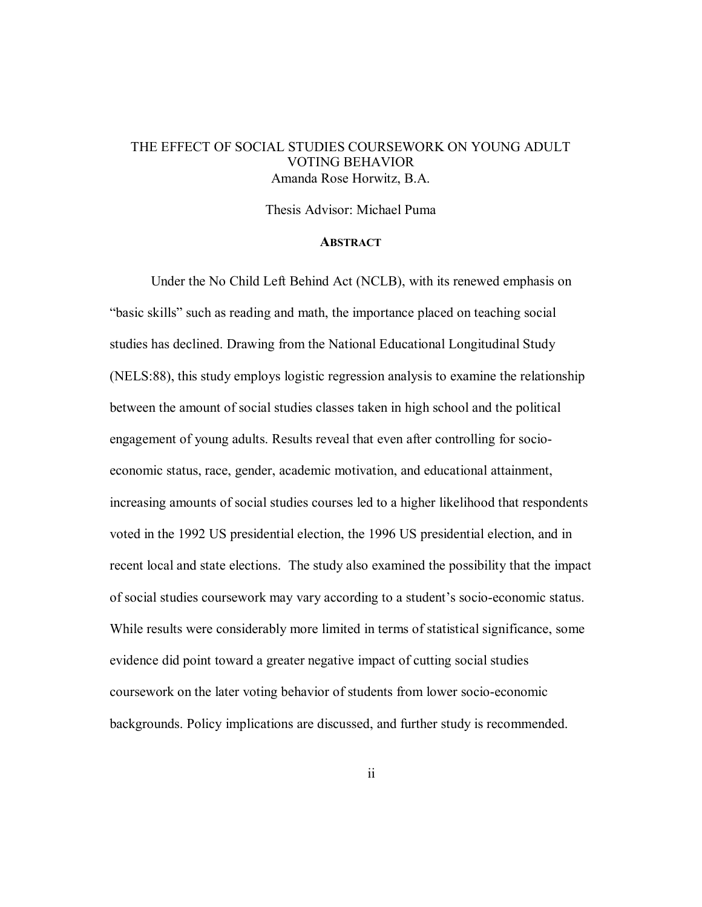### THE EFFECT OF SOCIAL STUDIES COURSEWORK ON YOUNG ADULT VOTING BEHAVIOR Amanda Rose Horwitz, B.A.

#### Thesis Advisor: Michael Puma

#### **ABSTRACT**

Under the No Child Left Behind Act (NCLB), with its renewed emphasis on "basic skills" such as reading and math, the importance placed on teaching social studies has declined. Drawing from the National Educational Longitudinal Study (NELS:88), this study employs logistic regression analysis to examine the relationship between the amount of social studies classes taken in high school and the political engagement of young adults. Results reveal that even after controlling for socioeconomic status, race, gender, academic motivation, and educational attainment, increasing amounts of social studies courses led to a higher likelihood that respondents voted in the 1992 US presidential election, the 1996 US presidential election, and in recent local and state elections. The study also examined the possibility that the impact of social studies coursework may vary according to a student's socio-economic status. While results were considerably more limited in terms of statistical significance, some evidence did point toward a greater negative impact of cutting social studies coursework on the later voting behavior of students from lower socio-economic backgrounds. Policy implications are discussed, and further study is recommended.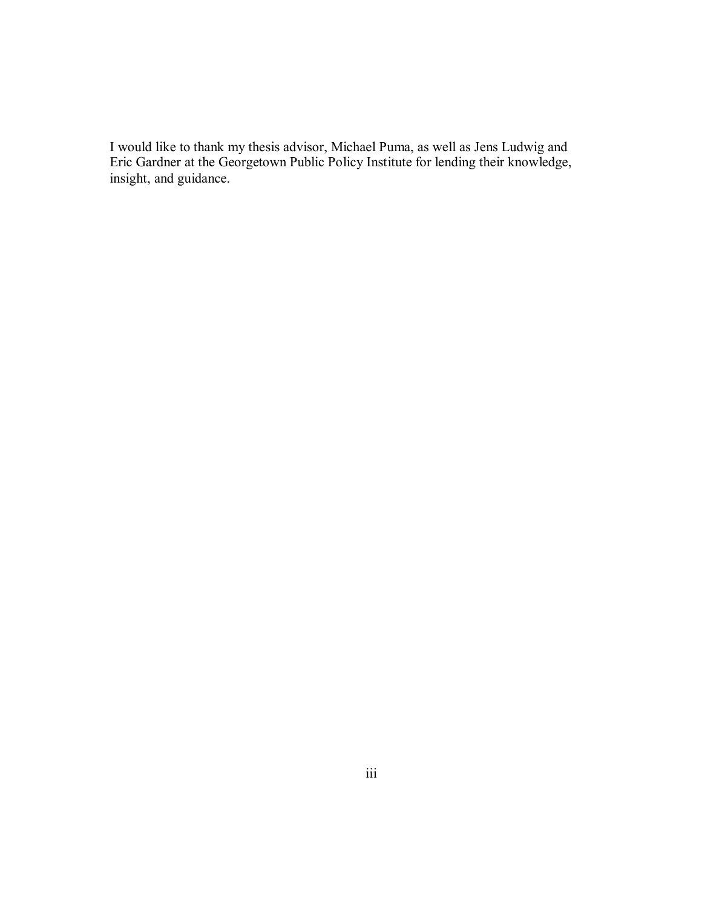I would like to thank my thesis advisor, Michael Puma, as well as Jens Ludwig and Eric Gardner at the Georgetown Public Policy Institute for lending their knowledge, insight, and guidance.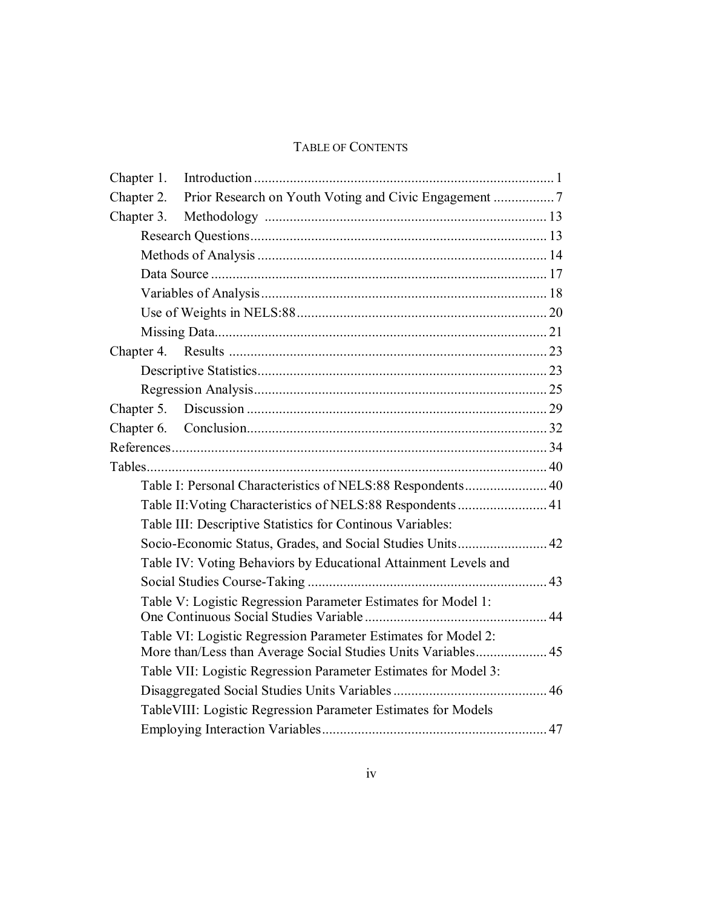## TABLE OF CONTENTS

| Chapter 1. |                                                                                                                                 |  |
|------------|---------------------------------------------------------------------------------------------------------------------------------|--|
| Chapter 2. |                                                                                                                                 |  |
| Chapter 3. |                                                                                                                                 |  |
|            |                                                                                                                                 |  |
|            |                                                                                                                                 |  |
|            |                                                                                                                                 |  |
|            |                                                                                                                                 |  |
|            |                                                                                                                                 |  |
|            |                                                                                                                                 |  |
|            |                                                                                                                                 |  |
|            |                                                                                                                                 |  |
|            |                                                                                                                                 |  |
|            |                                                                                                                                 |  |
|            |                                                                                                                                 |  |
|            |                                                                                                                                 |  |
|            |                                                                                                                                 |  |
|            | Table I: Personal Characteristics of NELS:88 Respondents 40                                                                     |  |
|            | Table II: Voting Characteristics of NELS:88 Respondents 41                                                                      |  |
|            | Table III: Descriptive Statistics for Continous Variables:                                                                      |  |
|            | Socio-Economic Status, Grades, and Social Studies Units 42                                                                      |  |
|            | Table IV: Voting Behaviors by Educational Attainment Levels and                                                                 |  |
|            |                                                                                                                                 |  |
|            | Table V: Logistic Regression Parameter Estimates for Model 1:                                                                   |  |
|            | Table VI: Logistic Regression Parameter Estimates for Model 2:<br>More than/Less than Average Social Studies Units Variables 45 |  |
|            | Table VII: Logistic Regression Parameter Estimates for Model 3:                                                                 |  |
|            |                                                                                                                                 |  |
|            | TableVIII: Logistic Regression Parameter Estimates for Models                                                                   |  |
|            |                                                                                                                                 |  |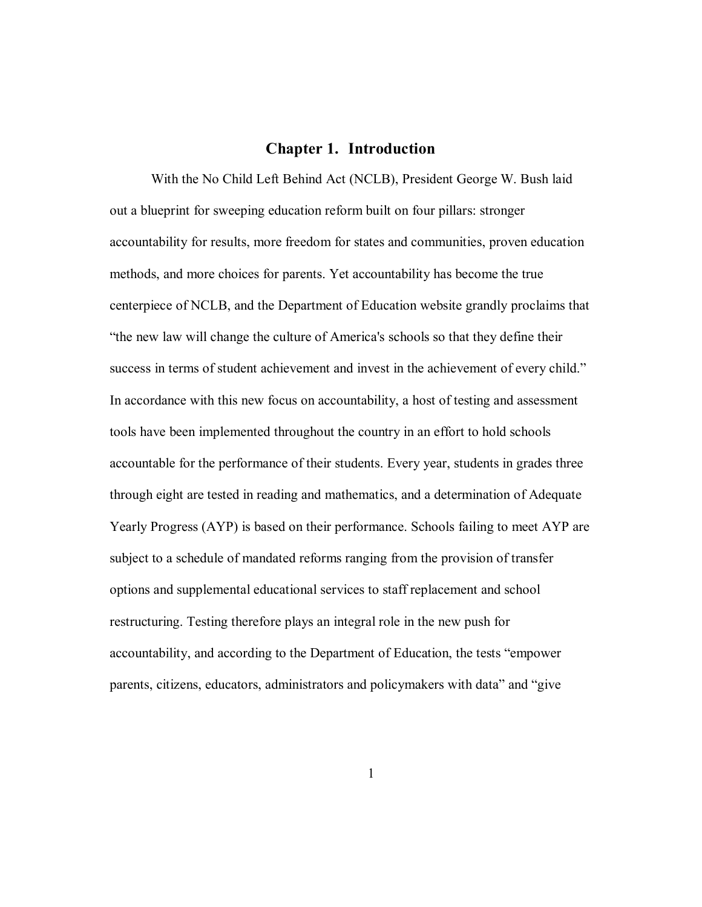#### **Chapter 1. Introduction**

With the No Child Left Behind Act (NCLB), President George W. Bush laid out a blueprint for sweeping education reform built on four pillars: stronger accountability for results, more freedom for states and communities, proven education methods, and more choices for parents. Yet accountability has become the true centerpiece of NCLB, and the Department of Education website grandly proclaims that "the new law will change the culture of America's schools so that they define their success in terms of student achievement and invest in the achievement of every child." In accordance with this new focus on accountability, a host of testing and assessment tools have been implemented throughout the country in an effort to hold schools accountable for the performance of their students. Every year, students in grades three through eight are tested in reading and mathematics, and a determination of Adequate Yearly Progress (AYP) is based on their performance. Schools failing to meet AYP are subject to a schedule of mandated reforms ranging from the provision of transfer options and supplemental educational services to staff replacement and school restructuring. Testing therefore plays an integral role in the new push for accountability, and according to the Department of Education, the tests "empower" parents, citizens, educators, administrators and policymakers with data" and "give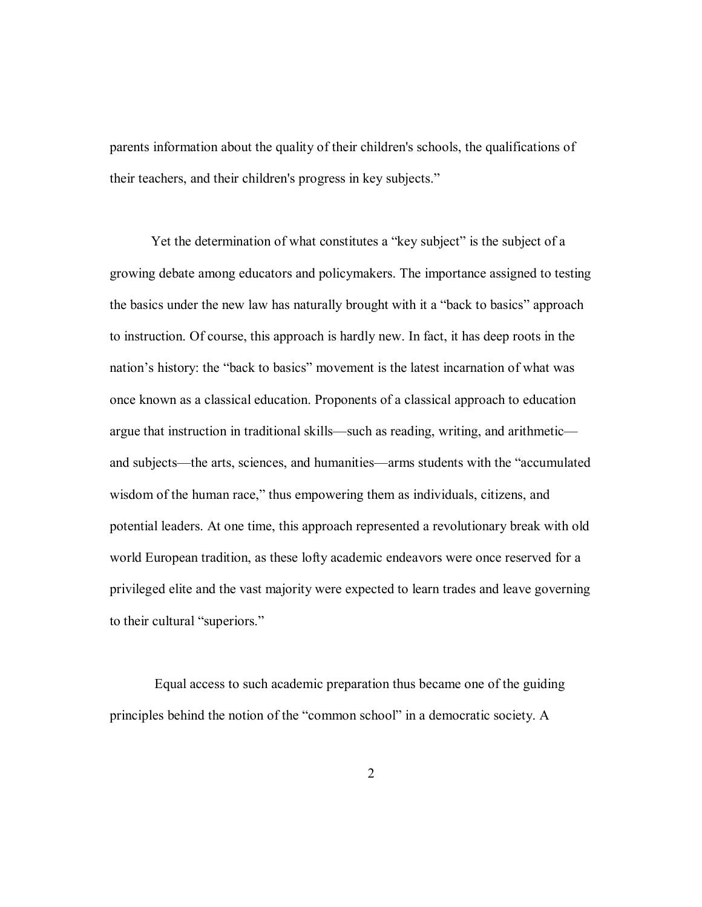parents information about the quality of their children's schools, the qualifications of their teachers, and their children's progress in key subjects."

Yet the determination of what constitutes a "key subject" is the subject of a growing debate among educators and policymakers. The importance assigned to testing the basics under the new law has naturally brought with it a "back to basics" approach to instruction. Of course, this approach is hardly new. In fact, it has deep roots in the nation's history: the "back to basics" movement is the latest incarnation of what was once known as a classical education. Proponents of a classical approach to education argue that instruction in traditional skills—such as reading, writing, and arithmetic and subjects—the arts, sciences, and humanities—arms students with the "accumulated wisdom of the human race," thus empowering them as individuals, citizens, and potential leaders. At one time, this approach represented a revolutionary break with old world European tradition, as these lofty academic endeavors were once reserved for a privileged elite and the vast majority were expected to learn trades and leave governing to their cultural "superiors."

 Equal access to such academic preparation thus became one of the guiding principles behind the notion of the "common school" in a democratic society. A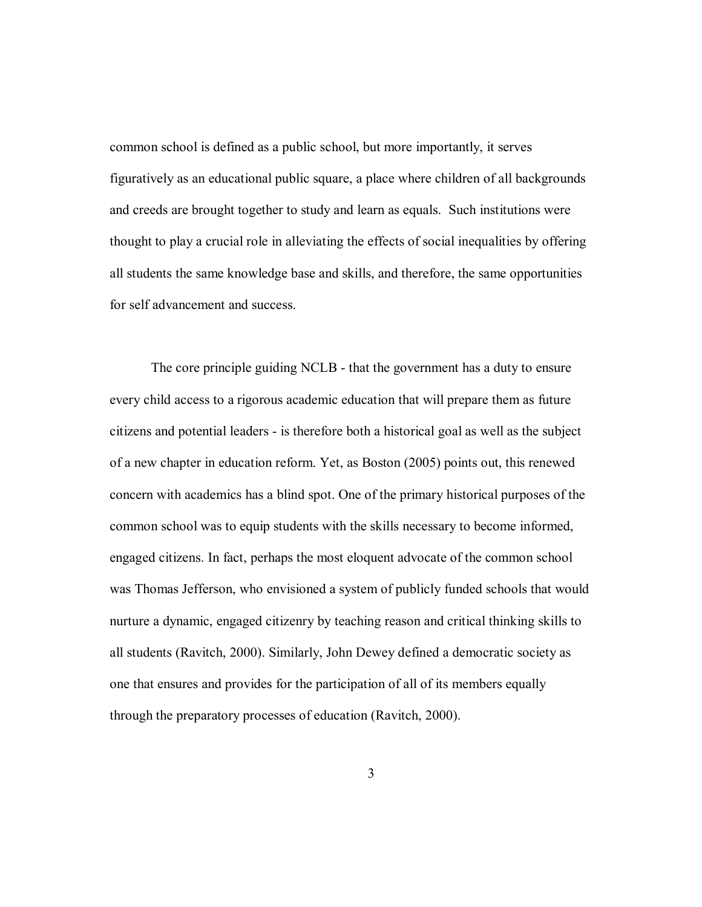common school is defined as a public school, but more importantly, it serves figuratively as an educational public square, a place where children of all backgrounds and creeds are brought together to study and learn as equals. Such institutions were thought to play a crucial role in alleviating the effects of social inequalities by offering all students the same knowledge base and skills, and therefore, the same opportunities for self advancement and success.

The core principle guiding NCLB - that the government has a duty to ensure every child access to a rigorous academic education that will prepare them as future citizens and potential leaders - is therefore both a historical goal as well as the subject of a new chapter in education reform. Yet, as Boston (2005) points out, this renewed concern with academics has a blind spot. One of the primary historical purposes of the common school was to equip students with the skills necessary to become informed, engaged citizens. In fact, perhaps the most eloquent advocate of the common school was Thomas Jefferson, who envisioned a system of publicly funded schools that would nurture a dynamic, engaged citizenry by teaching reason and critical thinking skills to all students (Ravitch, 2000). Similarly, John Dewey defined a democratic society as one that ensures and provides for the participation of all of its members equally through the preparatory processes of education (Ravitch, 2000).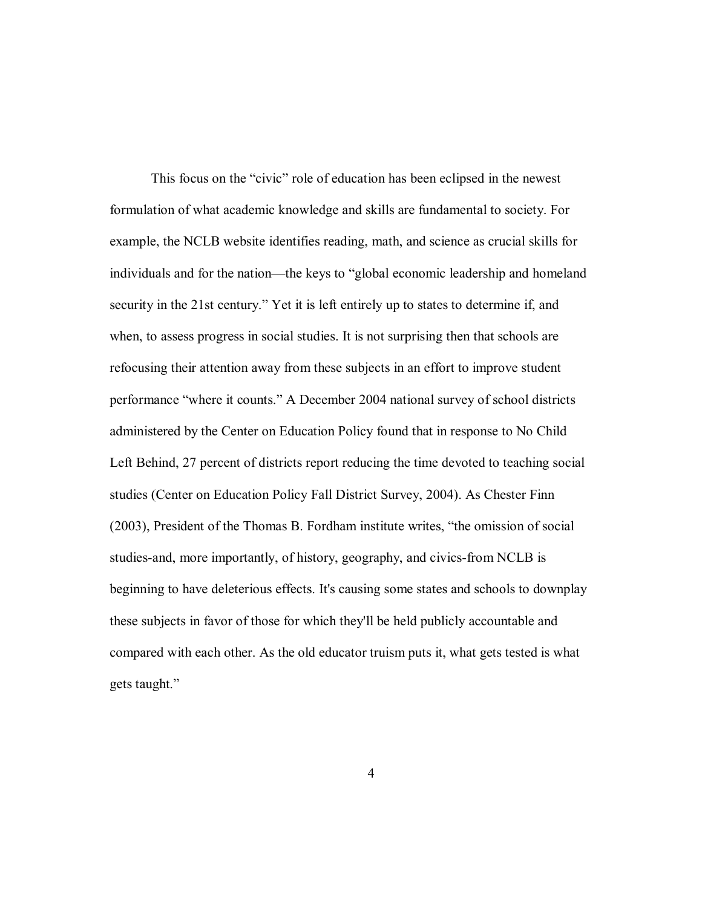This focus on the "civic" role of education has been eclipsed in the newest formulation of what academic knowledge and skills are fundamental to society. For example, the NCLB website identifies reading, math, and science as crucial skills for individuals and for the nation—the keys to "global economic leadership and homeland security in the 21st century." Yet it is left entirely up to states to determine if, and when, to assess progress in social studies. It is not surprising then that schools are refocusing their attention away from these subjects in an effort to improve student performance "where it counts." A December 2004 national survey of school districts administered by the Center on Education Policy found that in response to No Child Left Behind, 27 percent of districts report reducing the time devoted to teaching social studies (Center on Education Policy Fall District Survey, 2004). As Chester Finn  $(2003)$ , President of the Thomas B. Fordham institute writes, "the omission of social studies-and, more importantly, of history, geography, and civics-from NCLB is beginning to have deleterious effects. It's causing some states and schools to downplay these subjects in favor of those for which they'll be held publicly accountable and compared with each other. As the old educator truism puts it, what gets tested is what gets taught."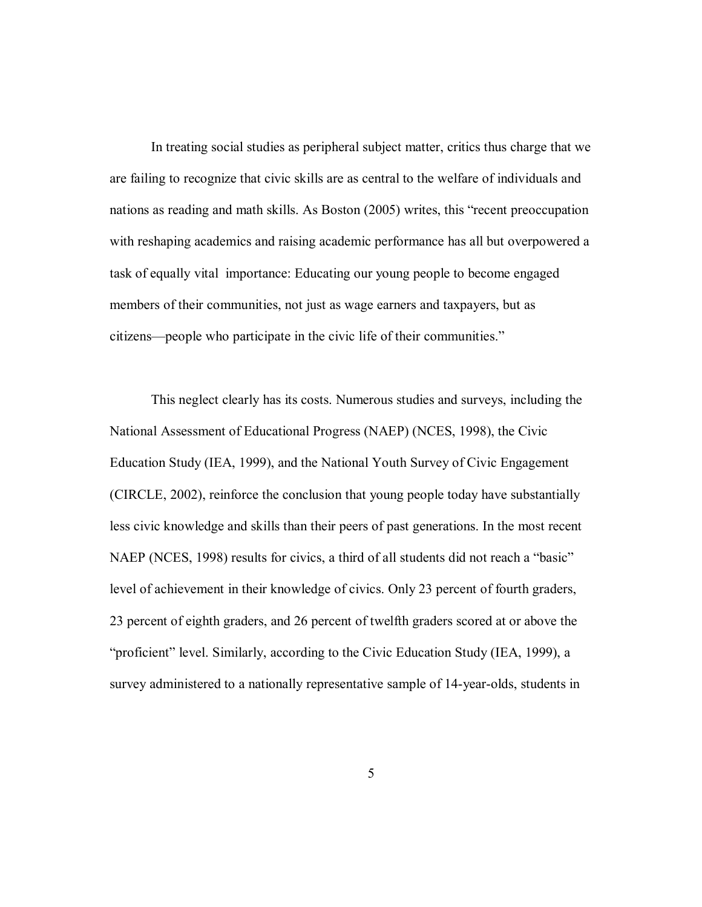In treating social studies as peripheral subject matter, critics thus charge that we are failing to recognize that civic skills are as central to the welfare of individuals and nations as reading and math skills. As Boston (2005) writes, this "recent preoccupation with reshaping academics and raising academic performance has all but overpowered a task of equally vital importance: Educating our young people to become engaged members of their communities, not just as wage earners and taxpayers, but as citizens—people who participate in the civic life of their communities."

This neglect clearly has its costs. Numerous studies and surveys, including the National Assessment of Educational Progress (NAEP) (NCES, 1998), the Civic Education Study (IEA, 1999), and the National Youth Survey of Civic Engagement (CIRCLE, 2002), reinforce the conclusion that young people today have substantially less civic knowledge and skills than their peers of past generations. In the most recent NAEP (NCES, 1998) results for civics, a third of all students did not reach a "basic" level of achievement in their knowledge of civics. Only 23 percent of fourth graders, 23 percent of eighth graders, and 26 percent of twelfth graders scored at or above the "proficient" level. Similarly, according to the Civic Education Study (IEA, 1999), a survey administered to a nationally representative sample of 14-year-olds, students in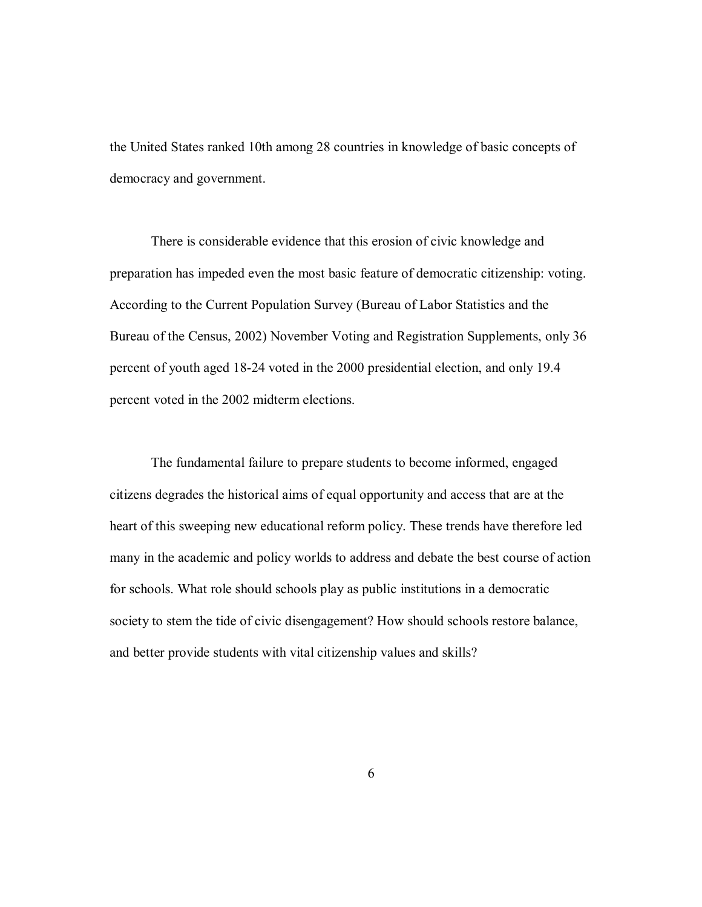the United States ranked 10th among 28 countries in knowledge of basic concepts of democracy and government.

There is considerable evidence that this erosion of civic knowledge and preparation has impeded even the most basic feature of democratic citizenship: voting. According to the Current Population Survey (Bureau of Labor Statistics and the Bureau of the Census, 2002) November Voting and Registration Supplements, only 36 percent of youth aged 18-24 voted in the 2000 presidential election, and only 19.4 percent voted in the 2002 midterm elections.

The fundamental failure to prepare students to become informed, engaged citizens degrades the historical aims of equal opportunity and access that are at the heart of this sweeping new educational reform policy. These trends have therefore led many in the academic and policy worlds to address and debate the best course of action for schools. What role should schools play as public institutions in a democratic society to stem the tide of civic disengagement? How should schools restore balance, and better provide students with vital citizenship values and skills?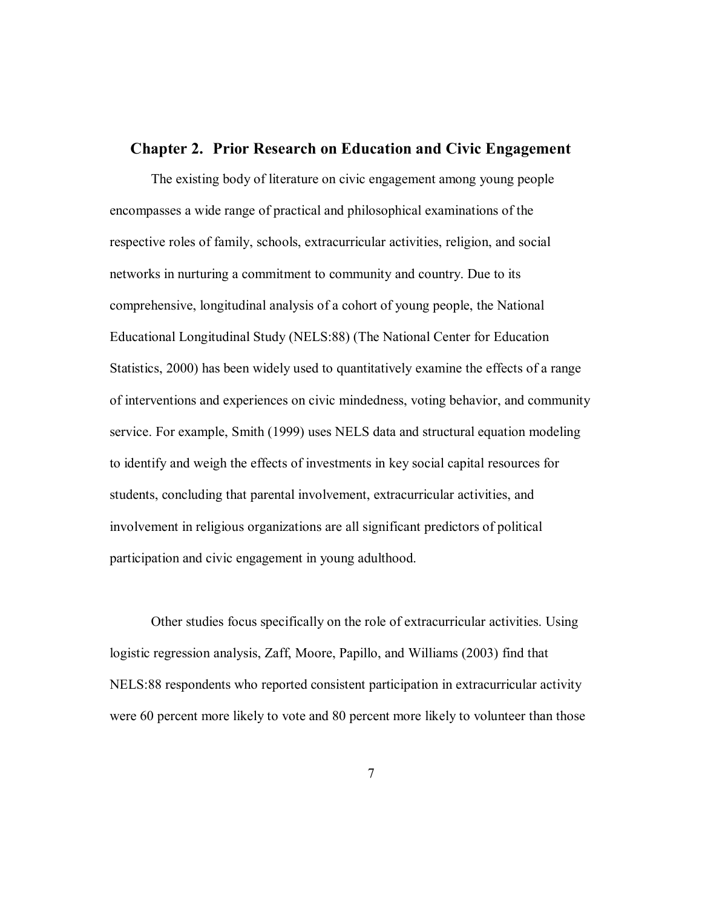#### **Chapter 2. Prior Research on Education and Civic Engagement**

The existing body of literature on civic engagement among young people encompasses a wide range of practical and philosophical examinations of the respective roles of family, schools, extracurricular activities, religion, and social networks in nurturing a commitment to community and country. Due to its comprehensive, longitudinal analysis of a cohort of young people, the National Educational Longitudinal Study (NELS:88) (The National Center for Education Statistics, 2000) has been widely used to quantitatively examine the effects of a range of interventions and experiences on civic mindedness, voting behavior, and community service. For example, Smith (1999) uses NELS data and structural equation modeling to identify and weigh the effects of investments in key social capital resources for students, concluding that parental involvement, extracurricular activities, and involvement in religious organizations are all significant predictors of political participation and civic engagement in young adulthood.

Other studies focus specifically on the role of extracurricular activities. Using logistic regression analysis, Zaff, Moore, Papillo, and Williams (2003) find that NELS:88 respondents who reported consistent participation in extracurricular activity were 60 percent more likely to vote and 80 percent more likely to volunteer than those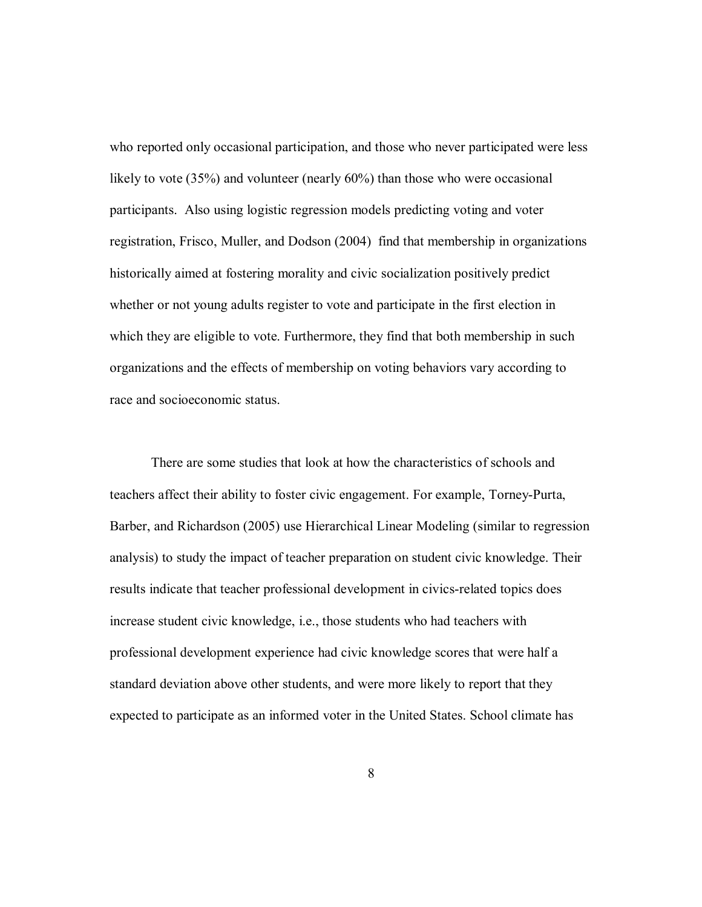who reported only occasional participation, and those who never participated were less likely to vote (35%) and volunteer (nearly 60%) than those who were occasional participants. Also using logistic regression models predicting voting and voter registration, Frisco, Muller, and Dodson (2004) find that membership in organizations historically aimed at fostering morality and civic socialization positively predict whether or not young adults register to vote and participate in the first election in which they are eligible to vote. Furthermore, they find that both membership in such organizations and the effects of membership on voting behaviors vary according to race and socioeconomic status.

There are some studies that look at how the characteristics of schools and teachers affect their ability to foster civic engagement. For example, Torney-Purta, Barber, and Richardson (2005) use Hierarchical Linear Modeling (similar to regression analysis) to study the impact of teacher preparation on student civic knowledge. Their results indicate that teacher professional development in civics-related topics does increase student civic knowledge, i.e., those students who had teachers with professional development experience had civic knowledge scores that were half a standard deviation above other students, and were more likely to report that they expected to participate as an informed voter in the United States. School climate has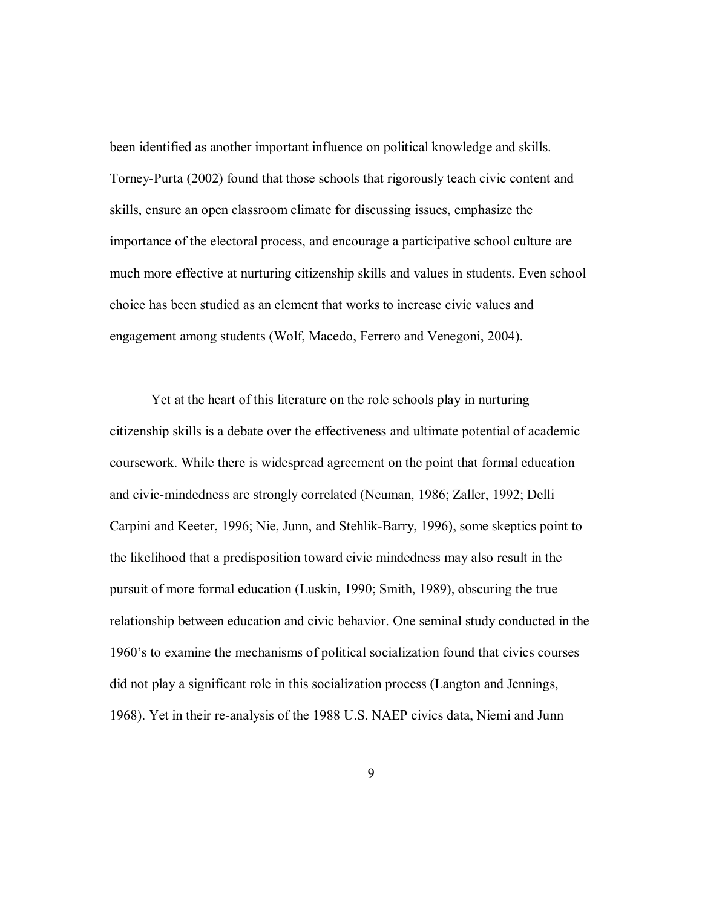been identified as another important influence on political knowledge and skills. Torney-Purta (2002) found that those schools that rigorously teach civic content and skills, ensure an open classroom climate for discussing issues, emphasize the importance of the electoral process, and encourage a participative school culture are much more effective at nurturing citizenship skills and values in students. Even school choice has been studied as an element that works to increase civic values and engagement among students (Wolf, Macedo, Ferrero and Venegoni, 2004).

Yet at the heart of this literature on the role schools play in nurturing citizenship skills is a debate over the effectiveness and ultimate potential of academic coursework. While there is widespread agreement on the point that formal education and civic-mindedness are strongly correlated (Neuman, 1986; Zaller, 1992; Delli Carpini and Keeter, 1996; Nie, Junn, and Stehlik-Barry, 1996), some skeptics point to the likelihood that a predisposition toward civic mindedness may also result in the pursuit of more formal education (Luskin, 1990; Smith, 1989), obscuring the true relationship between education and civic behavior. One seminal study conducted in the 1960's to examine the mechanisms of political socialization found that civics courses did not play a significant role in this socialization process (Langton and Jennings, 1968). Yet in their re-analysis of the 1988 U.S. NAEP civics data, Niemi and Junn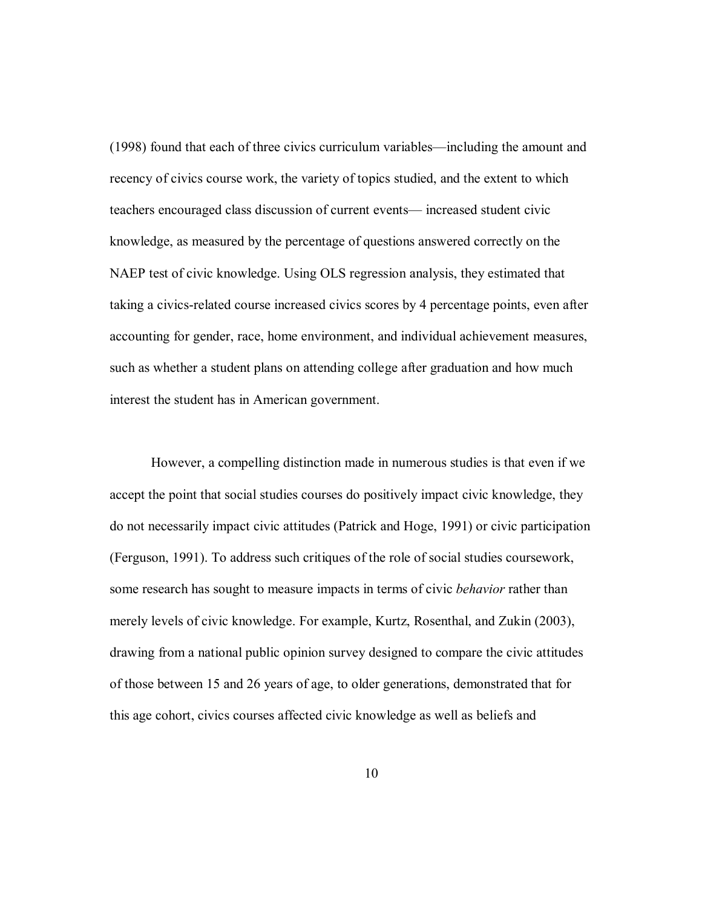$(1998)$  found that each of three civics curriculum variables—including the amount and recency of civics course work, the variety of topics studied, and the extent to which teachers encouraged class discussion of current events— increased student civic knowledge, as measured by the percentage of questions answered correctly on the NAEP test of civic knowledge. Using OLS regression analysis, they estimated that taking a civics-related course increased civics scores by 4 percentage points, even after accounting for gender, race, home environment, and individual achievement measures, such as whether a student plans on attending college after graduation and how much interest the student has in American government.

However, a compelling distinction made in numerous studies is that even if we accept the point that social studies courses do positively impact civic knowledge, they do not necessarily impact civic attitudes (Patrick and Hoge, 1991) or civic participation (Ferguson, 1991). To address such critiques of the role of social studies coursework, some research has sought to measure impacts in terms of civic *behavior* rather than merely levels of civic knowledge. For example, Kurtz, Rosenthal, and Zukin (2003), drawing from a national public opinion survey designed to compare the civic attitudes of those between 15 and 26 years of age, to older generations, demonstrated that for this age cohort, civics courses affected civic knowledge as well as beliefs and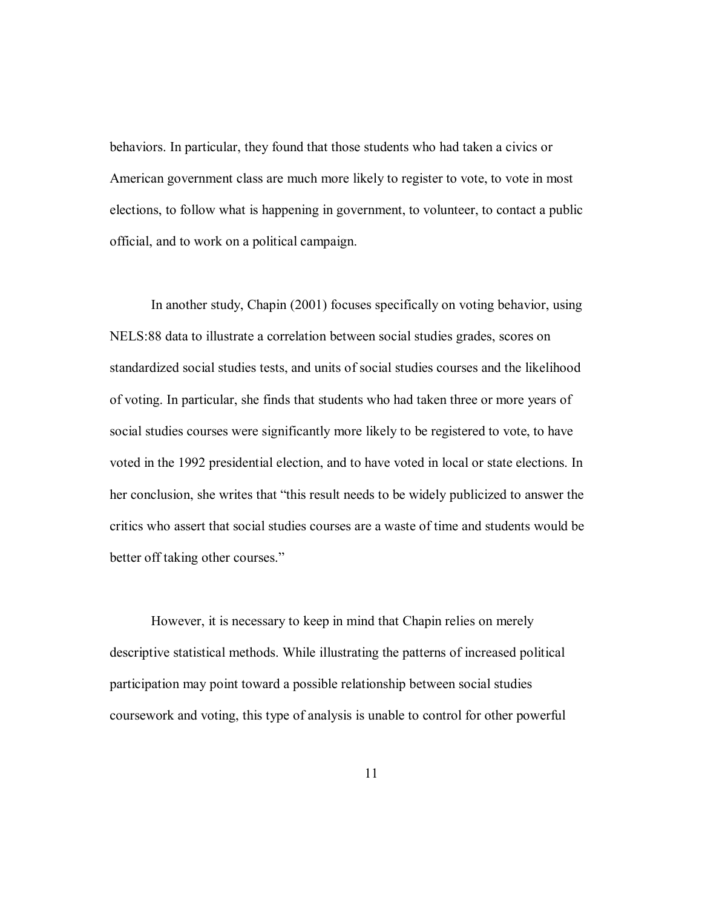behaviors. In particular, they found that those students who had taken a civics or American government class are much more likely to register to vote, to vote in most elections, to follow what is happening in government, to volunteer, to contact a public official, and to work on a political campaign.

In another study, Chapin (2001) focuses specifically on voting behavior, using NELS:88 data to illustrate a correlation between social studies grades, scores on standardized social studies tests, and units of social studies courses and the likelihood of voting. In particular, she finds that students who had taken three or more years of social studies courses were significantly more likely to be registered to vote, to have voted in the 1992 presidential election, and to have voted in local or state elections. In her conclusion, she writes that "this result needs to be widely publicized to answer the critics who assert that social studies courses are a waste of time and students would be better off taking other courses."

However, it is necessary to keep in mind that Chapin relies on merely descriptive statistical methods. While illustrating the patterns of increased political participation may point toward a possible relationship between social studies coursework and voting, this type of analysis is unable to control for other powerful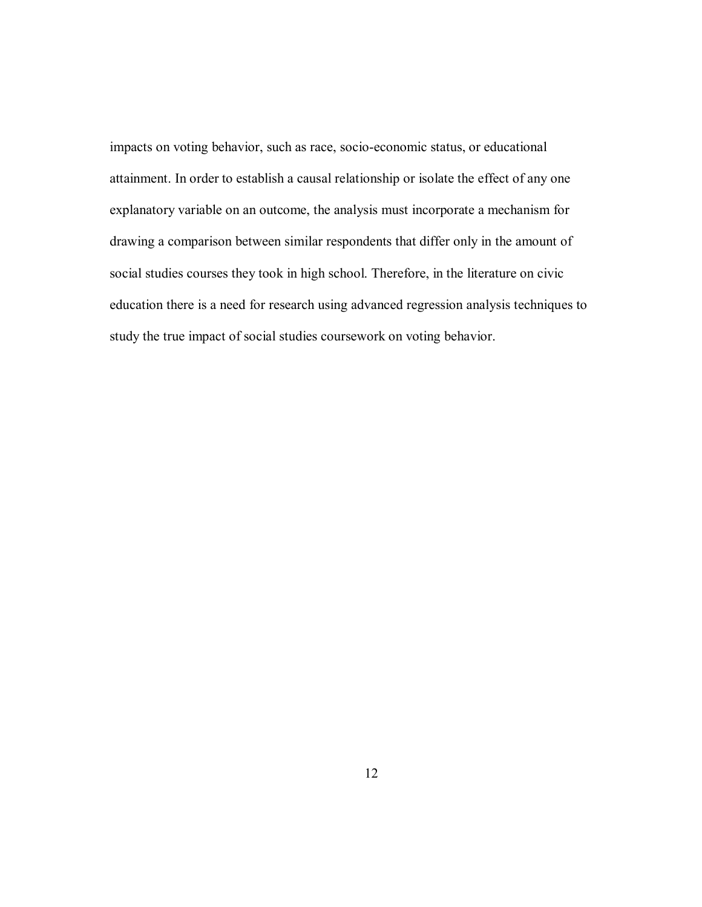impacts on voting behavior, such as race, socio-economic status, or educational attainment. In order to establish a causal relationship or isolate the effect of any one explanatory variable on an outcome, the analysis must incorporate a mechanism for drawing a comparison between similar respondents that differ only in the amount of social studies courses they took in high school. Therefore, in the literature on civic education there is a need for research using advanced regression analysis techniques to study the true impact of social studies coursework on voting behavior.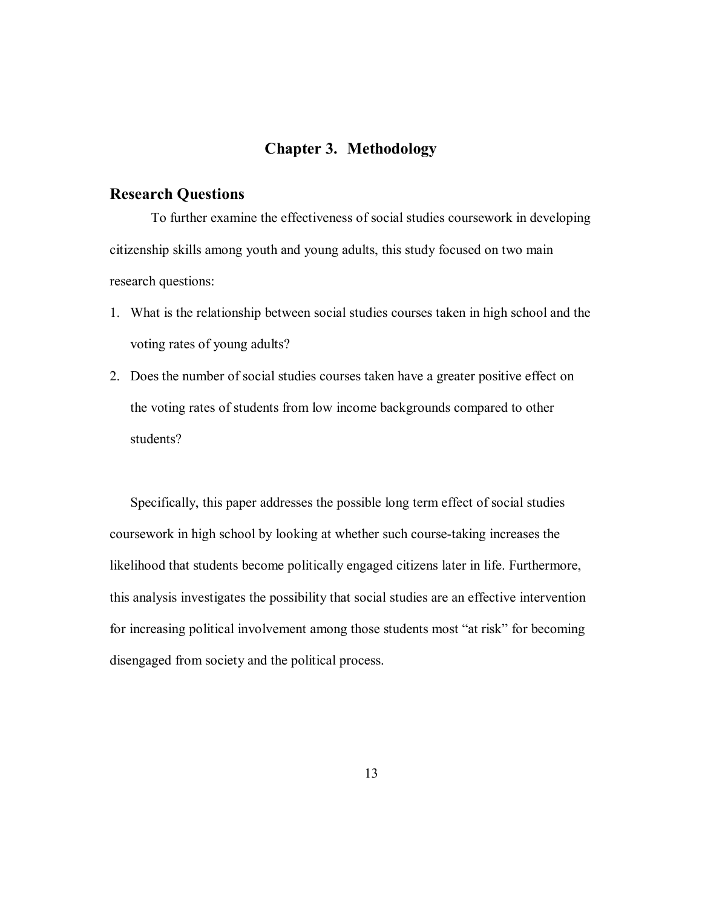## **Chapter 3. Methodology**

### **Research Questions**

To further examine the effectiveness of social studies coursework in developing citizenship skills among youth and young adults, this study focused on two main research questions:

- 1. What is the relationship between social studies courses taken in high school and the voting rates of young adults?
- 2. Does the number of social studies courses taken have a greater positive effect on the voting rates of students from low income backgrounds compared to other students?

Specifically, this paper addresses the possible long term effect of social studies coursework in high school by looking at whether such course-taking increases the likelihood that students become politically engaged citizens later in life. Furthermore, this analysis investigates the possibility that social studies are an effective intervention for increasing political involvement among those students most "at risk" for becoming disengaged from society and the political process.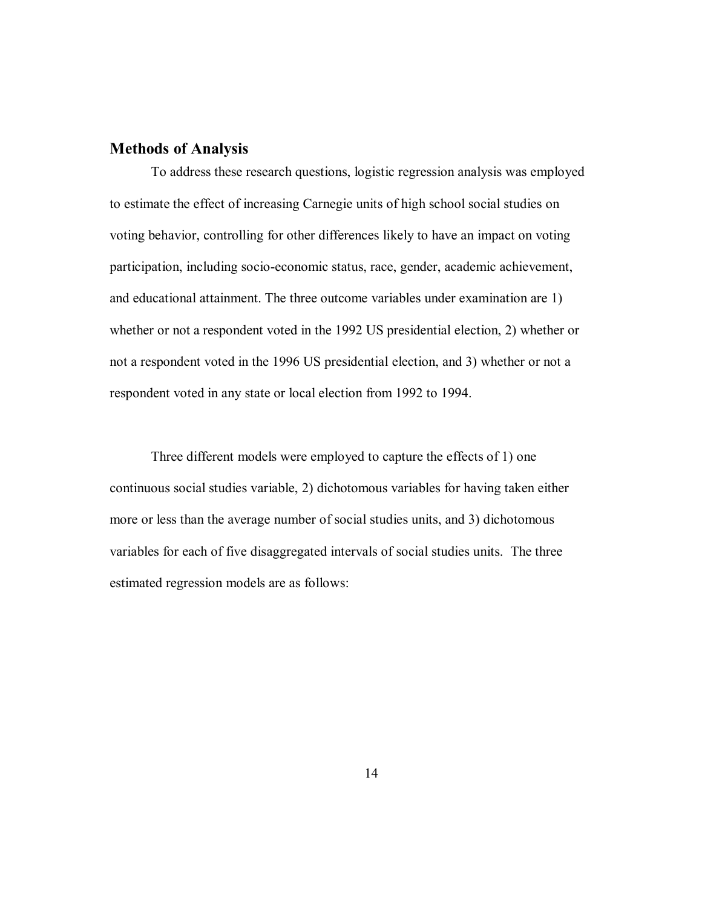# **Methods of Analysis**

To address these research questions, logistic regression analysis was employed to estimate the effect of increasing Carnegie units of high school social studies on voting behavior, controlling for other differences likely to have an impact on voting participation, including socio-economic status, race, gender, academic achievement, and educational attainment. The three outcome variables under examination are 1) whether or not a respondent voted in the 1992 US presidential election, 2) whether or not a respondent voted in the 1996 US presidential election, and 3) whether or not a respondent voted in any state or local election from 1992 to 1994.

Three different models were employed to capture the effects of 1) one continuous social studies variable, 2) dichotomous variables for having taken either more or less than the average number of social studies units, and 3) dichotomous variables for each of five disaggregated intervals of social studies units. The three estimated regression models are as follows: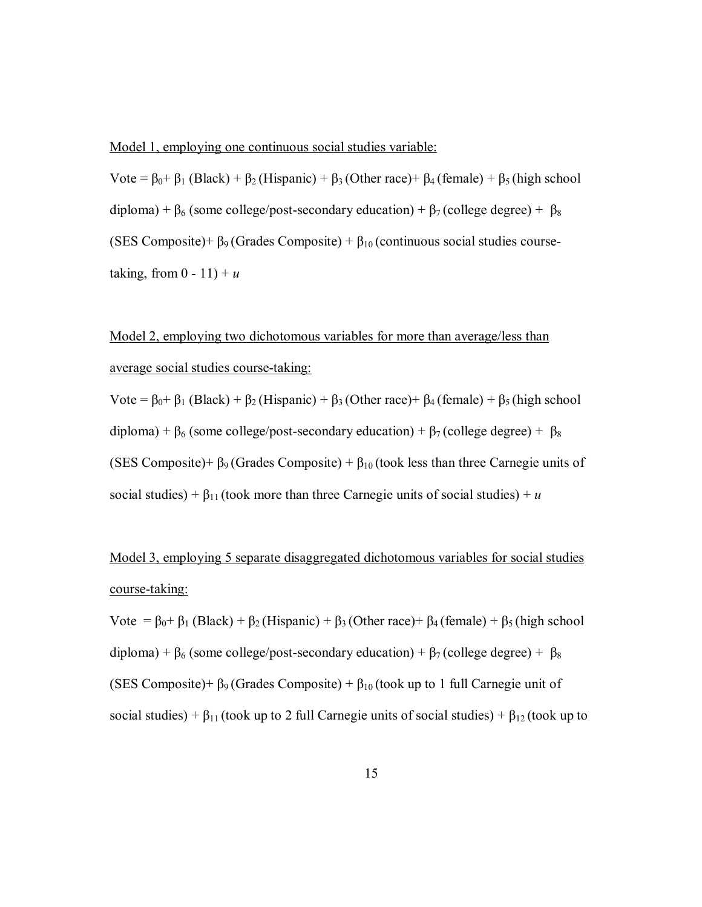#### Model 1, employing one continuous social studies variable:

Vote =  $\beta_0$ +  $\beta_1$  (Black) +  $\beta_2$  (Hispanic) +  $\beta_3$  (Other race)+  $\beta_4$  (female) +  $\beta_5$  (high school diploma) +  $\beta_6$  (some college/post-secondary education) +  $\beta_7$  (college degree) +  $\beta_8$ (SES Composite) +  $\beta$ <sub>9</sub> (Grades Composite) +  $\beta$ <sub>10</sub> (continuous social studies coursetaking, from  $0 - 11$ ) +  $u$ 

# Model 2, employing two dichotomous variables for more than average/less than average social studies course-taking:

Vote =  $\beta_0$ +  $\beta_1$  (Black) +  $\beta_2$  (Hispanic) +  $\beta_3$  (Other race)+  $\beta_4$  (female) +  $\beta_5$  (high school diploma) +  $\beta_6$  (some college/post-secondary education) +  $\beta_7$  (college degree) +  $\beta_8$ (SES Composite)+  $\beta$ <sub>9</sub> (Grades Composite) +  $\beta$ <sub>10</sub> (took less than three Carnegie units of social studies) +  $\beta_{11}$  (took more than three Carnegie units of social studies) + *u* 

# Model 3, employing 5 separate disaggregated dichotomous variables for social studies course-taking:

Vote =  $\beta_0$ +  $\beta_1$  (Black) +  $\beta_2$  (Hispanic) +  $\beta_3$  (Other race)+  $\beta_4$  (female) +  $\beta_5$  (high school diploma) +  $\beta_6$  (some college/post-secondary education) +  $\beta_7$  (college degree) +  $\beta_8$ (SES Composite)+  $\beta_9$  (Grades Composite) +  $\beta_{10}$  (took up to 1 full Carnegie unit of social studies) +  $\beta_{11}$  (took up to 2 full Carnegie units of social studies) +  $\beta_{12}$  (took up to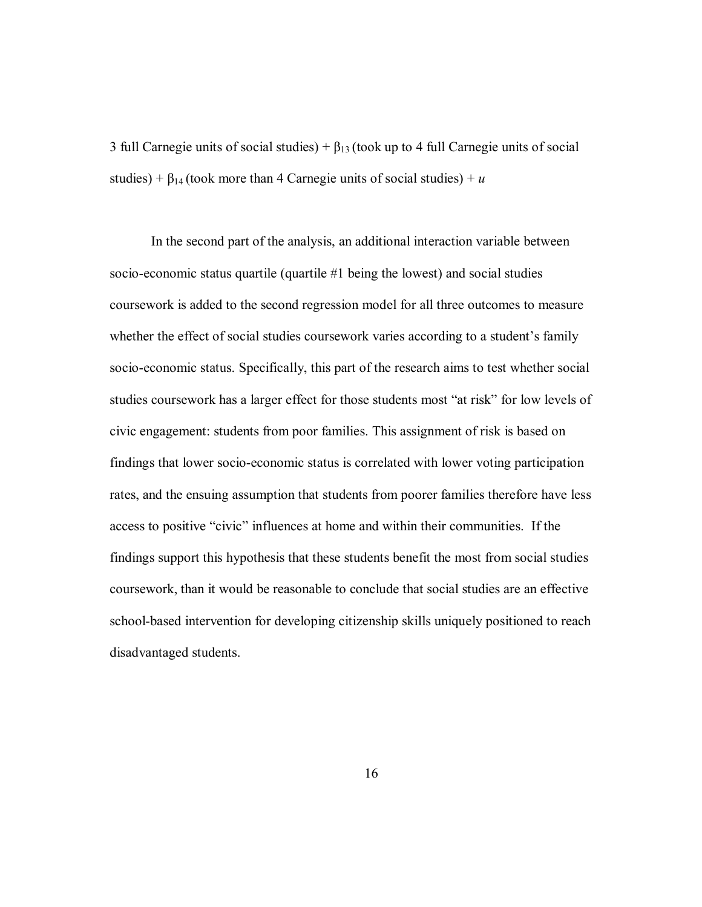3 full Carnegie units of social studies) +  $\beta_{13}$  (took up to 4 full Carnegie units of social studies) +  $\beta_{14}$  (took more than 4 Carnegie units of social studies) + *u* 

In the second part of the analysis, an additional interaction variable between socio-economic status quartile (quartile #1 being the lowest) and social studies coursework is added to the second regression model for all three outcomes to measure whether the effect of social studies coursework varies according to a student's family socio-economic status. Specifically, this part of the research aims to test whether social studies coursework has a larger effect for those students most "at risk" for low levels of civic engagement: students from poor families. This assignment of risk is based on findings that lower socio-economic status is correlated with lower voting participation rates, and the ensuing assumption that students from poorer families therefore have less access to positive "civic" influences at home and within their communities. If the findings support this hypothesis that these students benefit the most from social studies coursework, than it would be reasonable to conclude that social studies are an effective school-based intervention for developing citizenship skills uniquely positioned to reach disadvantaged students.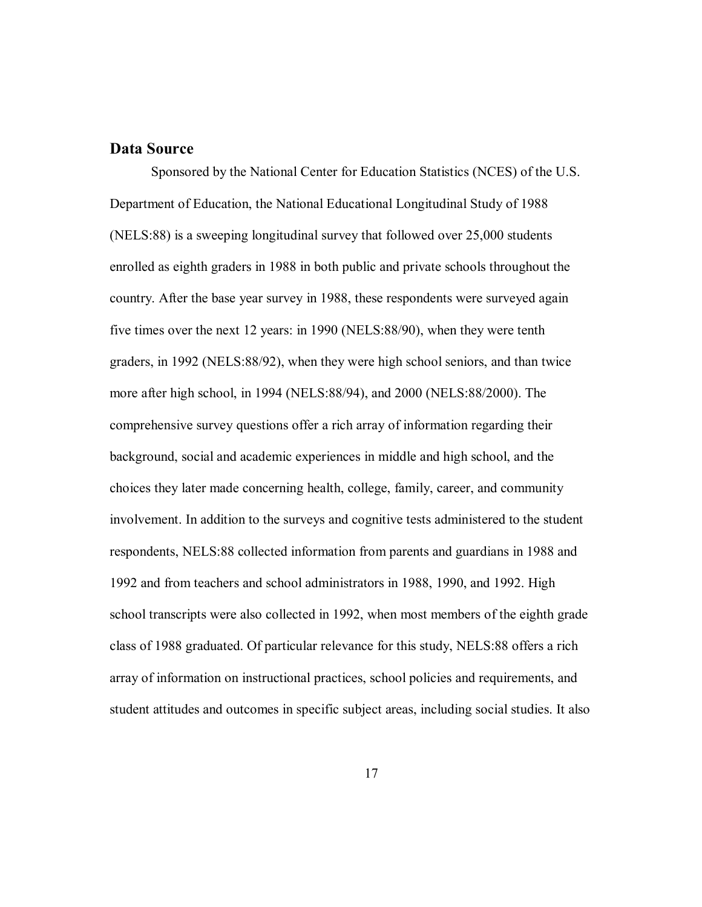## **Data Source**

Sponsored by the National Center for Education Statistics (NCES) of the U.S. Department of Education, the National Educational Longitudinal Study of 1988 (NELS:88) is a sweeping longitudinal survey that followed over 25,000 students enrolled as eighth graders in 1988 in both public and private schools throughout the country. After the base year survey in 1988, these respondents were surveyed again five times over the next 12 years: in 1990 (NELS:88/90), when they were tenth graders, in 1992 (NELS:88/92), when they were high school seniors, and than twice more after high school, in 1994 (NELS:88/94), and 2000 (NELS:88/2000). The comprehensive survey questions offer a rich array of information regarding their background, social and academic experiences in middle and high school, and the choices they later made concerning health, college, family, career, and community involvement. In addition to the surveys and cognitive tests administered to the student respondents, NELS:88 collected information from parents and guardians in 1988 and 1992 and from teachers and school administrators in 1988, 1990, and 1992. High school transcripts were also collected in 1992, when most members of the eighth grade class of 1988 graduated. Of particular relevance for this study, NELS:88 offers a rich array of information on instructional practices, school policies and requirements, and student attitudes and outcomes in specific subject areas, including social studies. It also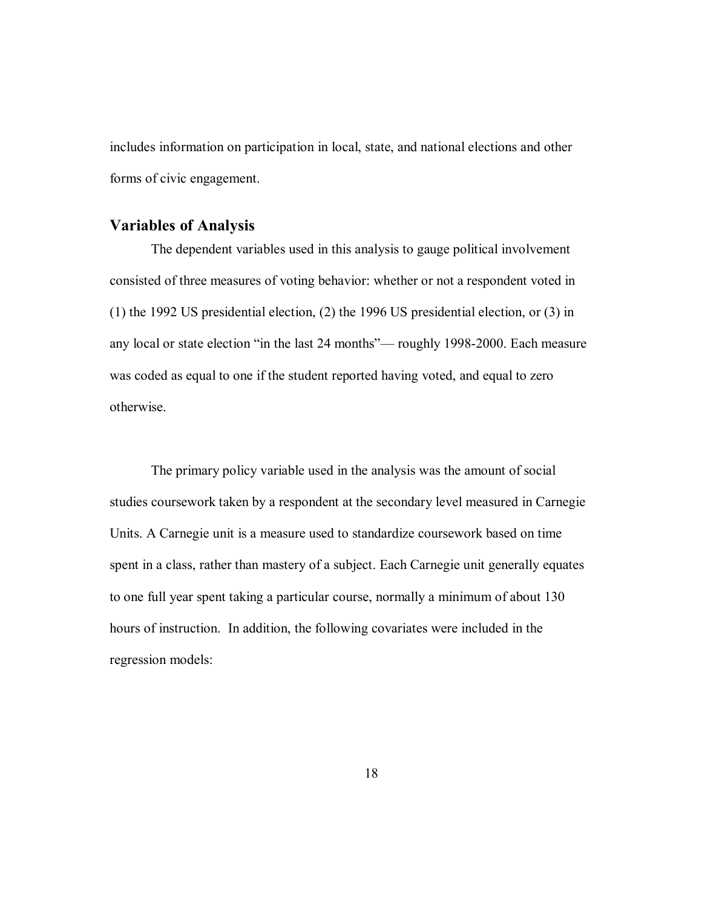includes information on participation in local, state, and national elections and other forms of civic engagement.

# **Variables of Analysis**

The dependent variables used in this analysis to gauge political involvement consisted of three measures of voting behavior: whether or not a respondent voted in (1) the 1992 US presidential election, (2) the 1996 US presidential election, or (3) in any local or state election "in the last 24 months"— roughly 1998-2000. Each measure was coded as equal to one if the student reported having voted, and equal to zero otherwise.

The primary policy variable used in the analysis was the amount of social studies coursework taken by a respondent at the secondary level measured in Carnegie Units. A Carnegie unit is a measure used to standardize coursework based on time spent in a class, rather than mastery of a subject. Each Carnegie unit generally equates to one full year spent taking a particular course, normally a minimum of about 130 hours of instruction. In addition, the following covariates were included in the regression models: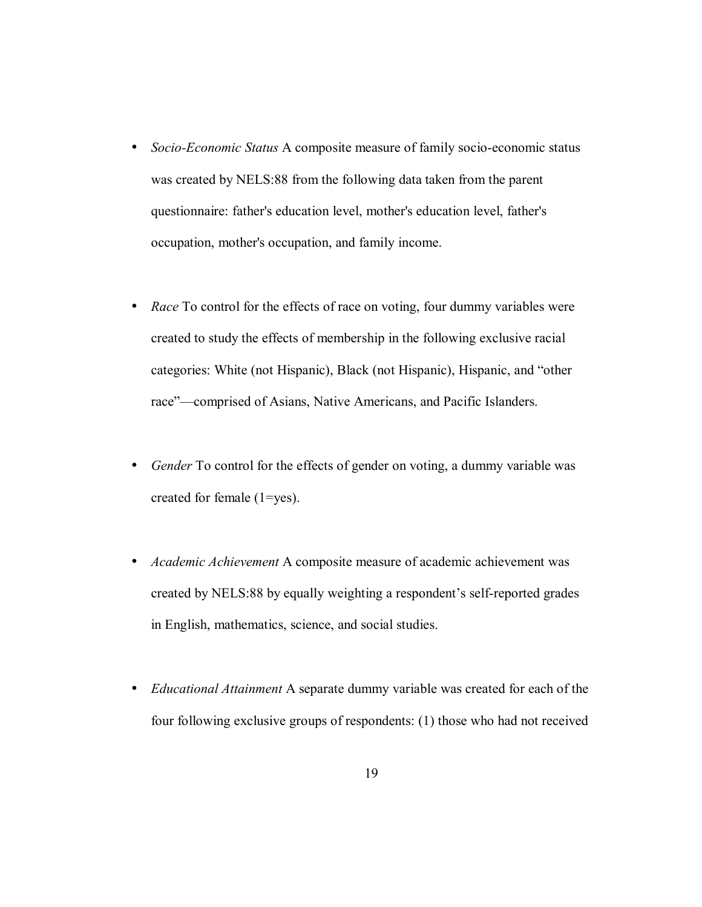- *Socio-Economic Status* A composite measure of family socio-economic status was created by NELS:88 from the following data taken from the parent questionnaire: father's education level, mother's education level, father's occupation, mother's occupation, and family income.
- *Race* To control for the effects of race on voting, four dummy variables were created to study the effects of membership in the following exclusive racial categories: White (not Hispanic), Black (not Hispanic), Hispanic, and "other race"—comprised of Asians, Native Americans, and Pacific Islanders.
- *Gender* To control for the effects of gender on voting, a dummy variable was created for female (1=yes).
- *Academic Achievement* A composite measure of academic achievement was created by NELS:88 by equally weighting a respondent's self-reported grades in English, mathematics, science, and social studies.
- *Educational Attainment* A separate dummy variable was created for each of the four following exclusive groups of respondents: (1) those who had not received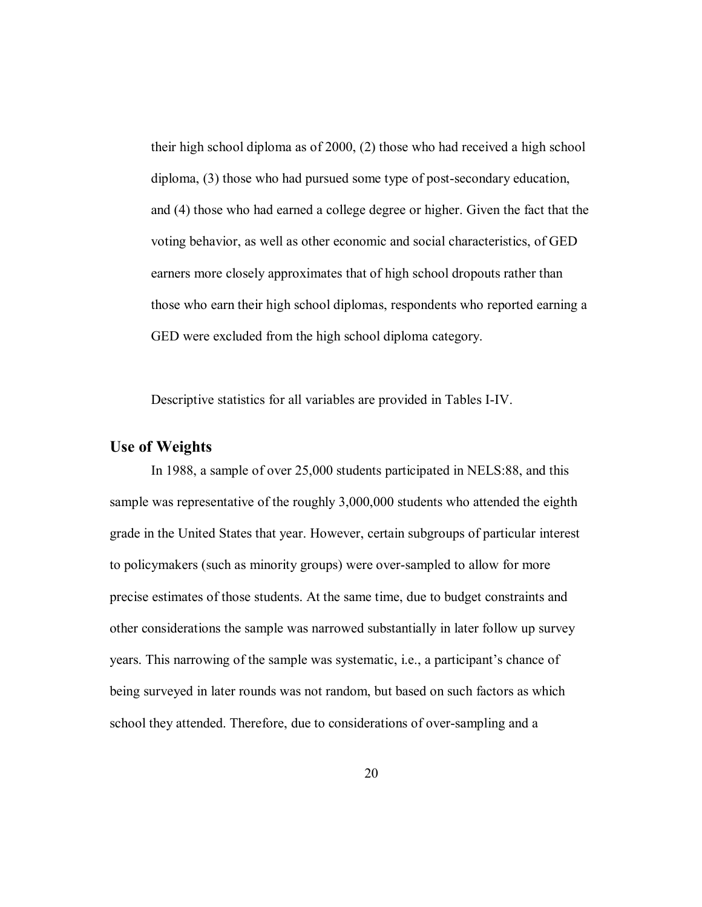their high school diploma as of 2000, (2) those who had received a high school diploma, (3) those who had pursued some type of post-secondary education, and (4) those who had earned a college degree or higher. Given the fact that the voting behavior, as well as other economic and social characteristics, of GED earners more closely approximates that of high school dropouts rather than those who earn their high school diplomas, respondents who reported earning a GED were excluded from the high school diploma category.

Descriptive statistics for all variables are provided in Tables I-IV.

#### **Use of Weights**

In 1988, a sample of over 25,000 students participated in NELS:88, and this sample was representative of the roughly 3,000,000 students who attended the eighth grade in the United States that year. However, certain subgroups of particular interest to policymakers (such as minority groups) were over-sampled to allow for more precise estimates of those students. At the same time, due to budget constraints and other considerations the sample was narrowed substantially in later follow up survey years. This narrowing of the sample was systematic, i.e., a participant's chance of being surveyed in later rounds was not random, but based on such factors as which school they attended. Therefore, due to considerations of over-sampling and a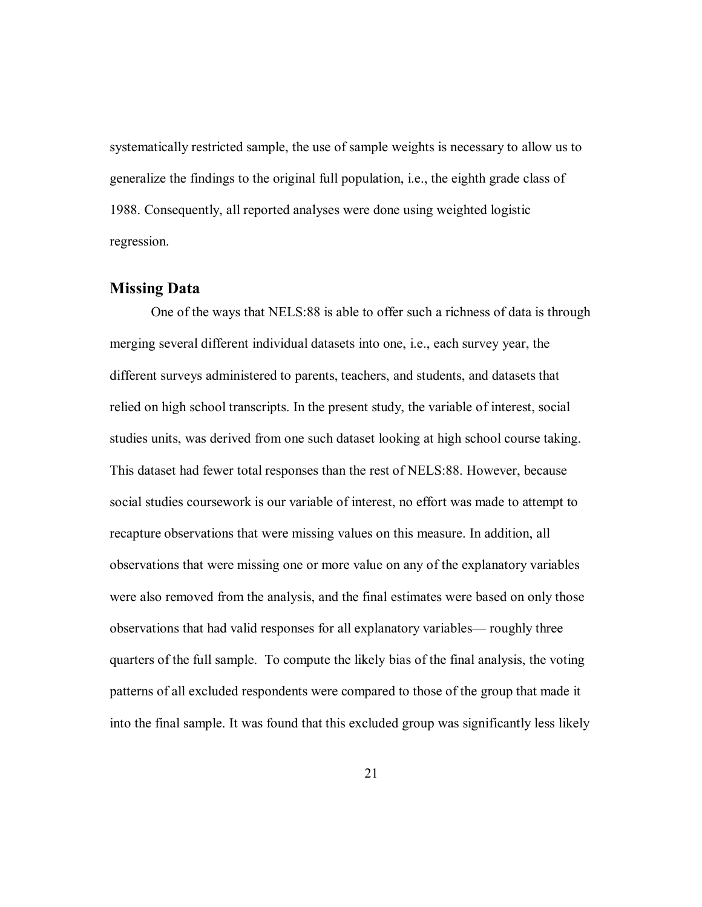systematically restricted sample, the use of sample weights is necessary to allow us to generalize the findings to the original full population, i.e., the eighth grade class of 1988. Consequently, all reported analyses were done using weighted logistic regression.

## **Missing Data**

One of the ways that NELS:88 is able to offer such a richness of data is through merging several different individual datasets into one, i.e., each survey year, the different surveys administered to parents, teachers, and students, and datasets that relied on high school transcripts. In the present study, the variable of interest, social studies units, was derived from one such dataset looking at high school course taking. This dataset had fewer total responses than the rest of NELS:88. However, because social studies coursework is our variable of interest, no effort was made to attempt to recapture observations that were missing values on this measure. In addition, all observations that were missing one or more value on any of the explanatory variables were also removed from the analysis, and the final estimates were based on only those observations that had valid responses for all explanatory variables— roughly three quarters of the full sample. To compute the likely bias of the final analysis, the voting patterns of all excluded respondents were compared to those of the group that made it into the final sample. It was found that this excluded group was significantly less likely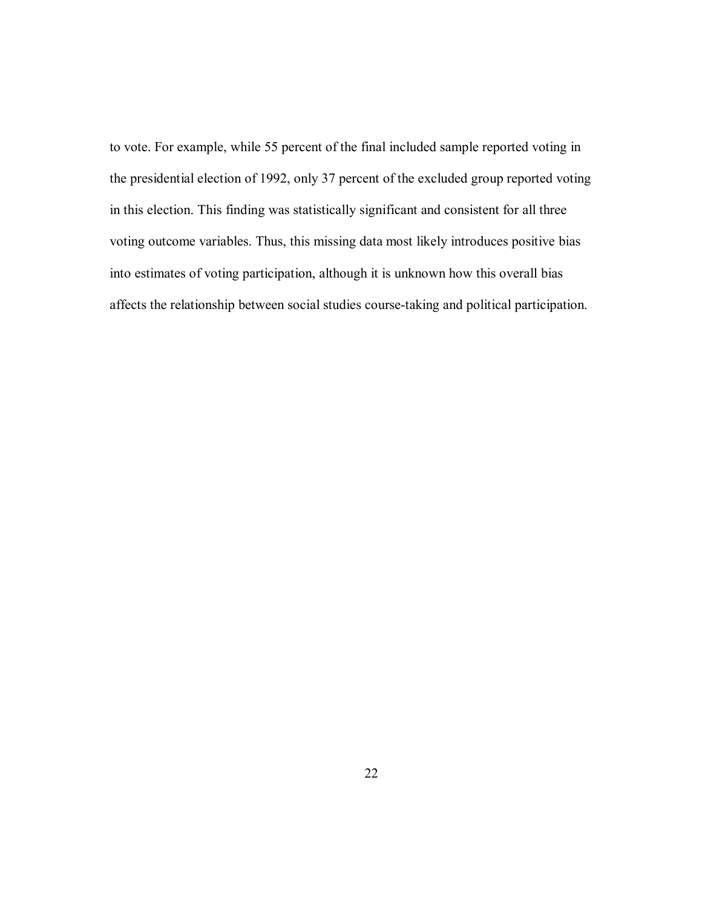to vote. For example, while 55 percent of the final included sample reported voting in the presidential election of 1992, only 37 percent of the excluded group reported voting in this election. This finding was statistically significant and consistent for all three voting outcome variables. Thus, this missing data most likely introduces positive bias into estimates of voting participation, although it is unknown how this overall bias affects the relationship between social studies course-taking and political participation.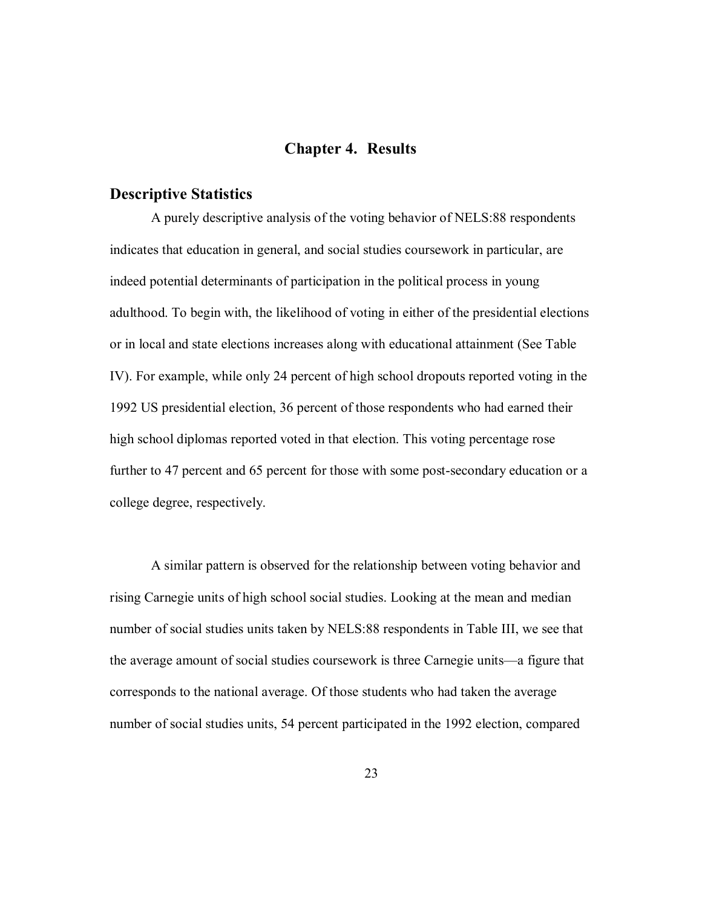# **Chapter 4. Results**

### **Descriptive Statistics**

A purely descriptive analysis of the voting behavior of NELS:88 respondents indicates that education in general, and social studies coursework in particular, are indeed potential determinants of participation in the political process in young adulthood. To begin with, the likelihood of voting in either of the presidential elections or in local and state elections increases along with educational attainment (See Table IV). For example, while only 24 percent of high school dropouts reported voting in the 1992 US presidential election, 36 percent of those respondents who had earned their high school diplomas reported voted in that election. This voting percentage rose further to 47 percent and 65 percent for those with some post-secondary education or a college degree, respectively.

A similar pattern is observed for the relationship between voting behavior and rising Carnegie units of high school social studies. Looking at the mean and median number of social studies units taken by NELS:88 respondents in Table III, we see that the average amount of social studies coursework is three Carnegie units—a figure that corresponds to the national average. Of those students who had taken the average number of social studies units, 54 percent participated in the 1992 election, compared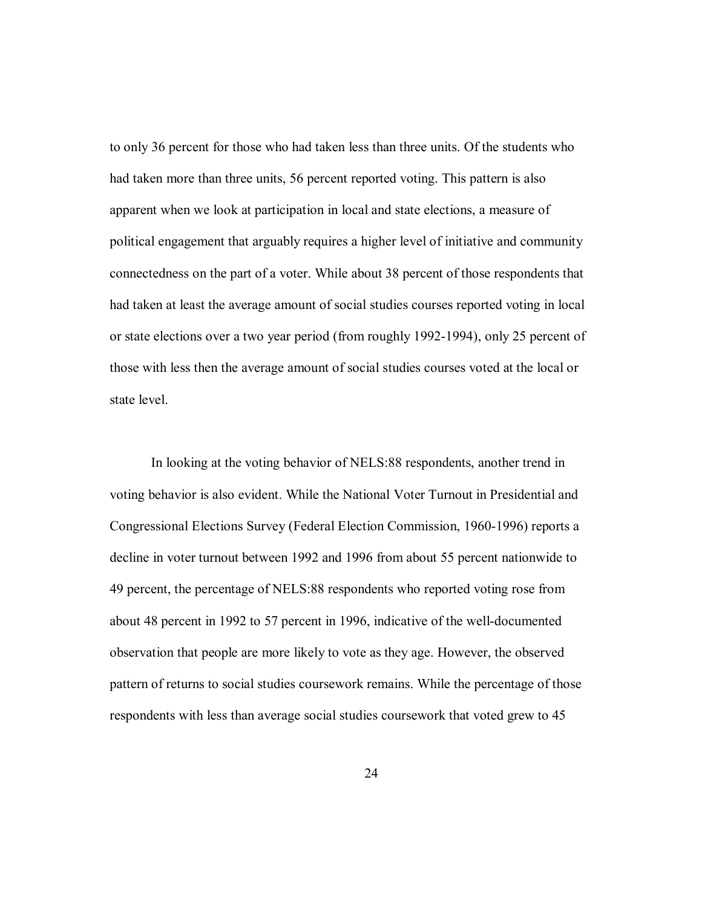to only 36 percent for those who had taken less than three units. Of the students who had taken more than three units, 56 percent reported voting. This pattern is also apparent when we look at participation in local and state elections, a measure of political engagement that arguably requires a higher level of initiative and community connectedness on the part of a voter. While about 38 percent of those respondents that had taken at least the average amount of social studies courses reported voting in local or state elections over a two year period (from roughly 1992-1994), only 25 percent of those with less then the average amount of social studies courses voted at the local or state level.

In looking at the voting behavior of NELS:88 respondents, another trend in voting behavior is also evident. While the National Voter Turnout in Presidential and Congressional Elections Survey (Federal Election Commission, 1960-1996) reports a decline in voter turnout between 1992 and 1996 from about 55 percent nationwide to 49 percent, the percentage of NELS:88 respondents who reported voting rose from about 48 percent in 1992 to 57 percent in 1996, indicative of the well-documented observation that people are more likely to vote as they age. However, the observed pattern of returns to social studies coursework remains. While the percentage of those respondents with less than average social studies coursework that voted grew to 45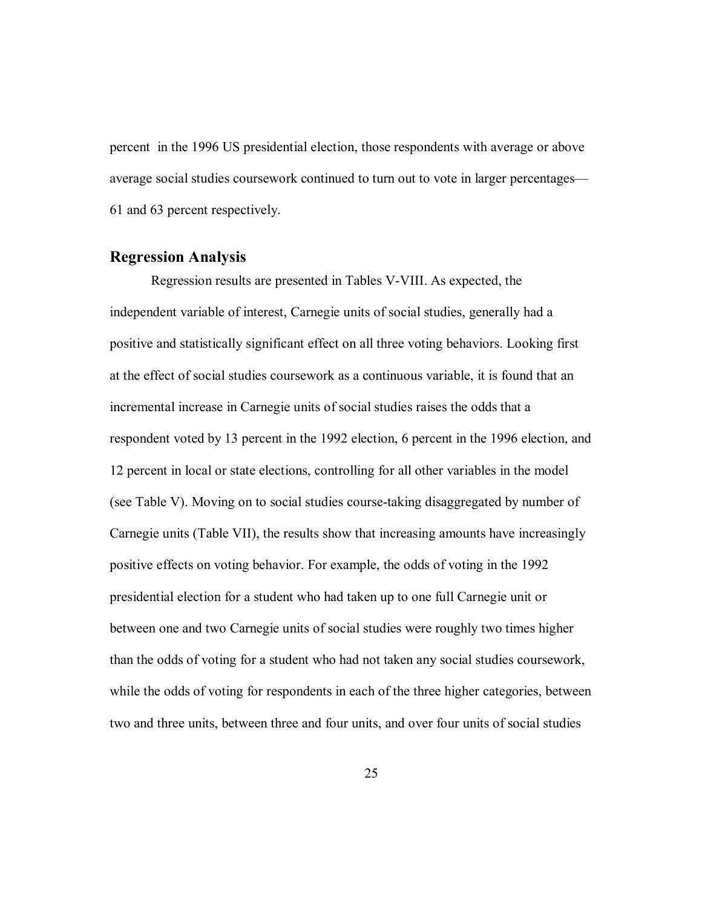percent in the 1996 US presidential election, those respondents with average or above average social studies coursework continued to turn out to vote in larger percentages— 61 and 63 percent respectively.

#### **Regression Analysis**

Regression results are presented in Tables V-VIII. As expected, the independent variable of interest, Carnegie units of social studies, generally had a positive and statistically significant effect on all three voting behaviors. Looking first at the effect of social studies coursework as a continuous variable, it is found that an incremental increase in Carnegie units of social studies raises the odds that a respondent voted by 13 percent in the 1992 election, 6 percent in the 1996 election, and 12 percent in local or state elections, controlling for all other variables in the model (see Table V). Moving on to social studies course-taking disaggregated by number of Carnegie units (Table VII), the results show that increasing amounts have increasingly positive effects on voting behavior. For example, the odds of voting in the 1992 presidential election for a student who had taken up to one full Carnegie unit or between one and two Carnegie units of social studies were roughly two times higher than the odds of voting for a student who had not taken any social studies coursework, while the odds of voting for respondents in each of the three higher categories, between two and three units, between three and four units, and over four units of social studies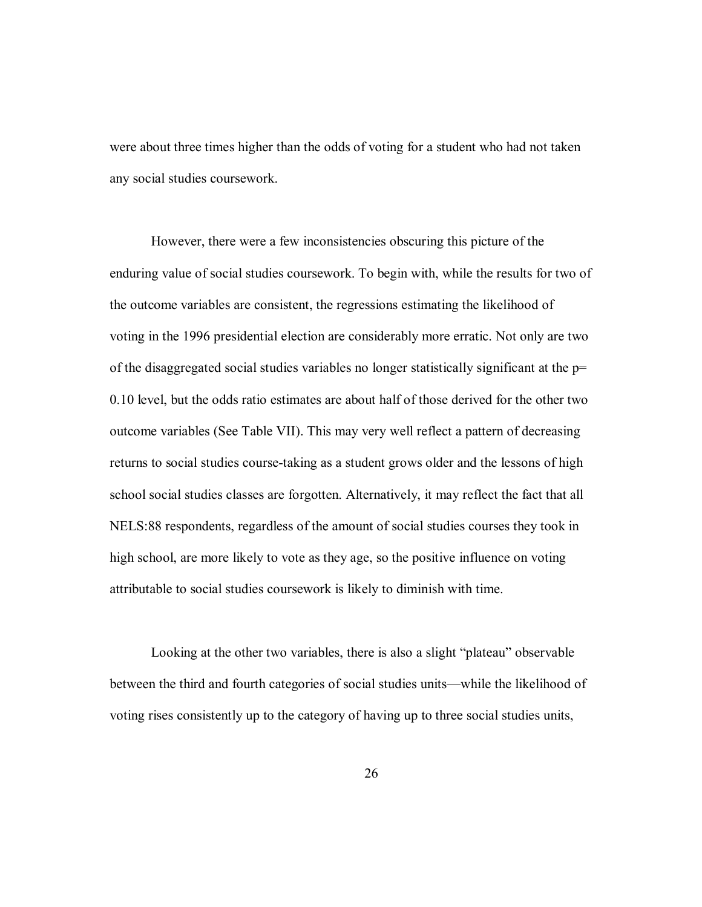were about three times higher than the odds of voting for a student who had not taken any social studies coursework.

However, there were a few inconsistencies obscuring this picture of the enduring value of social studies coursework. To begin with, while the results for two of the outcome variables are consistent, the regressions estimating the likelihood of voting in the 1996 presidential election are considerably more erratic. Not only are two of the disaggregated social studies variables no longer statistically significant at the  $p=$ 0.10 level, but the odds ratio estimates are about half of those derived for the other two outcome variables (See Table VII). This may very well reflect a pattern of decreasing returns to social studies course-taking as a student grows older and the lessons of high school social studies classes are forgotten. Alternatively, it may reflect the fact that all NELS:88 respondents, regardless of the amount of social studies courses they took in high school, are more likely to vote as they age, so the positive influence on voting attributable to social studies coursework is likely to diminish with time.

Looking at the other two variables, there is also a slight "plateau" observable between the third and fourth categories of social studies units—while the likelihood of voting rises consistently up to the category of having up to three social studies units,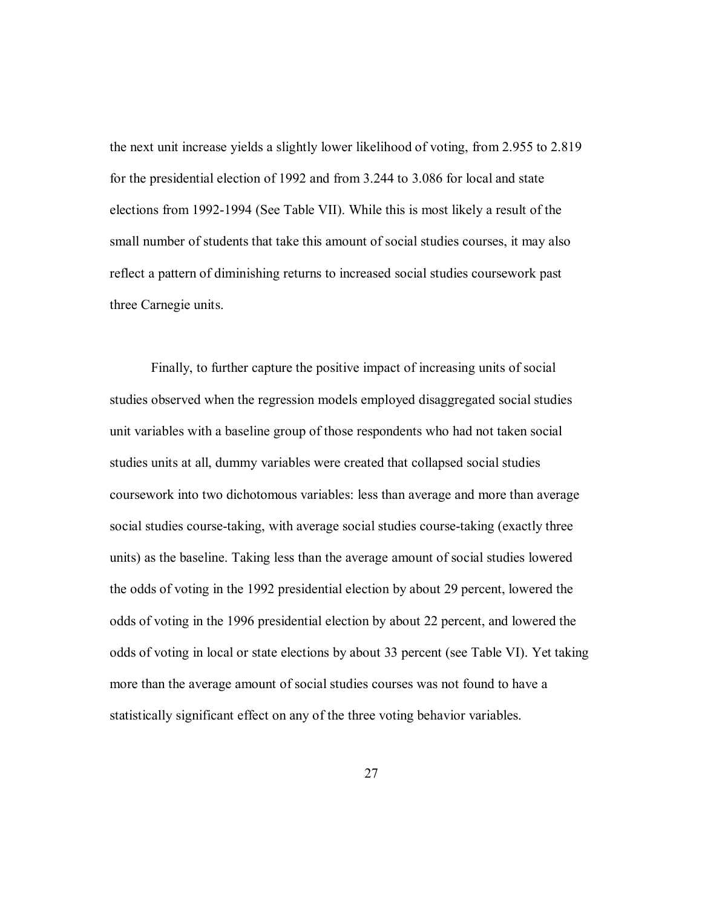the next unit increase yields a slightly lower likelihood of voting, from 2.955 to 2.819 for the presidential election of 1992 and from 3.244 to 3.086 for local and state elections from 1992-1994 (See Table VII). While this is most likely a result of the small number of students that take this amount of social studies courses, it may also reflect a pattern of diminishing returns to increased social studies coursework past three Carnegie units.

Finally, to further capture the positive impact of increasing units of social studies observed when the regression models employed disaggregated social studies unit variables with a baseline group of those respondents who had not taken social studies units at all, dummy variables were created that collapsed social studies coursework into two dichotomous variables: less than average and more than average social studies course-taking, with average social studies course-taking (exactly three units) as the baseline. Taking less than the average amount of social studies lowered the odds of voting in the 1992 presidential election by about 29 percent, lowered the odds of voting in the 1996 presidential election by about 22 percent, and lowered the odds of voting in local or state elections by about 33 percent (see Table VI). Yet taking more than the average amount of social studies courses was not found to have a statistically significant effect on any of the three voting behavior variables.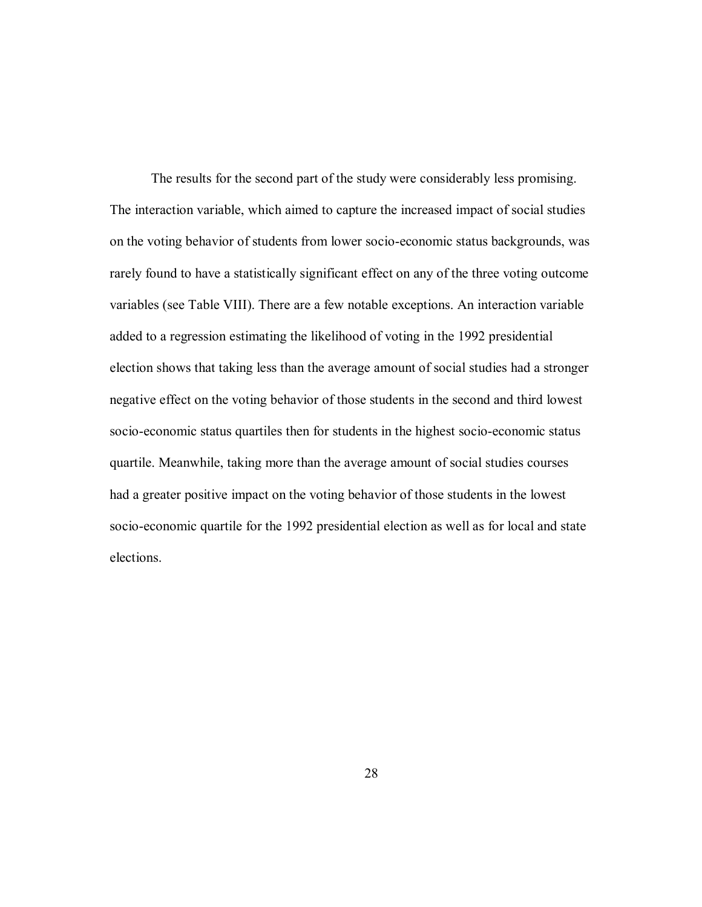The results for the second part of the study were considerably less promising. The interaction variable, which aimed to capture the increased impact of social studies on the voting behavior of students from lower socio-economic status backgrounds, was rarely found to have a statistically significant effect on any of the three voting outcome variables (see Table VIII). There are a few notable exceptions. An interaction variable added to a regression estimating the likelihood of voting in the 1992 presidential election shows that taking less than the average amount of social studies had a stronger negative effect on the voting behavior of those students in the second and third lowest socio-economic status quartiles then for students in the highest socio-economic status quartile. Meanwhile, taking more than the average amount of social studies courses had a greater positive impact on the voting behavior of those students in the lowest socio-economic quartile for the 1992 presidential election as well as for local and state elections.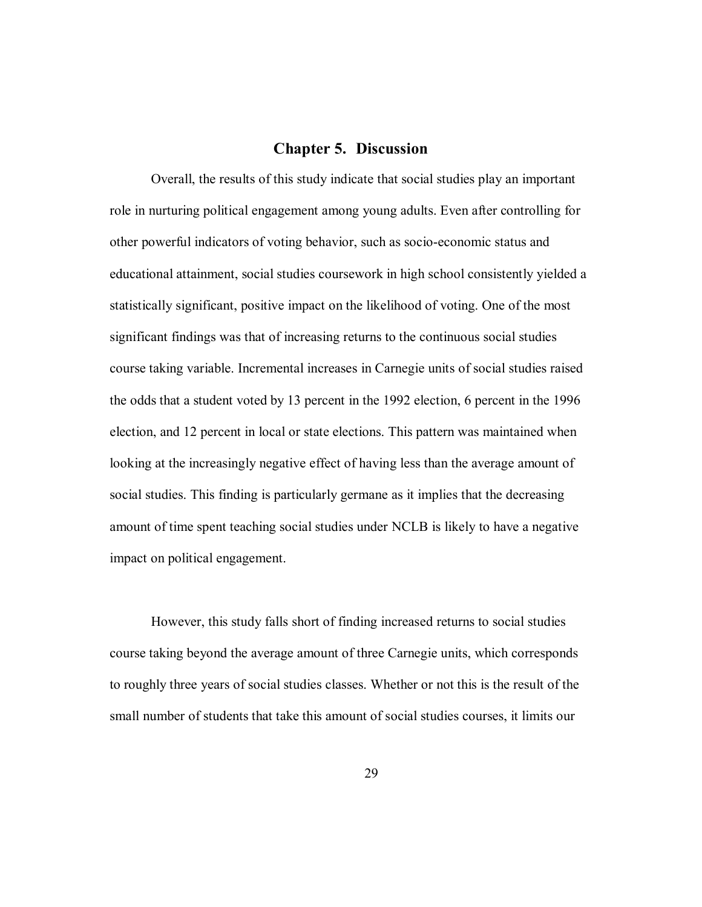#### **Chapter 5. Discussion**

Overall, the results of this study indicate that social studies play an important role in nurturing political engagement among young adults. Even after controlling for other powerful indicators of voting behavior, such as socio-economic status and educational attainment, social studies coursework in high school consistently yielded a statistically significant, positive impact on the likelihood of voting. One of the most significant findings was that of increasing returns to the continuous social studies course taking variable. Incremental increases in Carnegie units of social studies raised the odds that a student voted by 13 percent in the 1992 election, 6 percent in the 1996 election, and 12 percent in local or state elections. This pattern was maintained when looking at the increasingly negative effect of having less than the average amount of social studies. This finding is particularly germane as it implies that the decreasing amount of time spent teaching social studies under NCLB is likely to have a negative impact on political engagement.

However, this study falls short of finding increased returns to social studies course taking beyond the average amount of three Carnegie units, which corresponds to roughly three years of social studies classes. Whether or not this is the result of the small number of students that take this amount of social studies courses, it limits our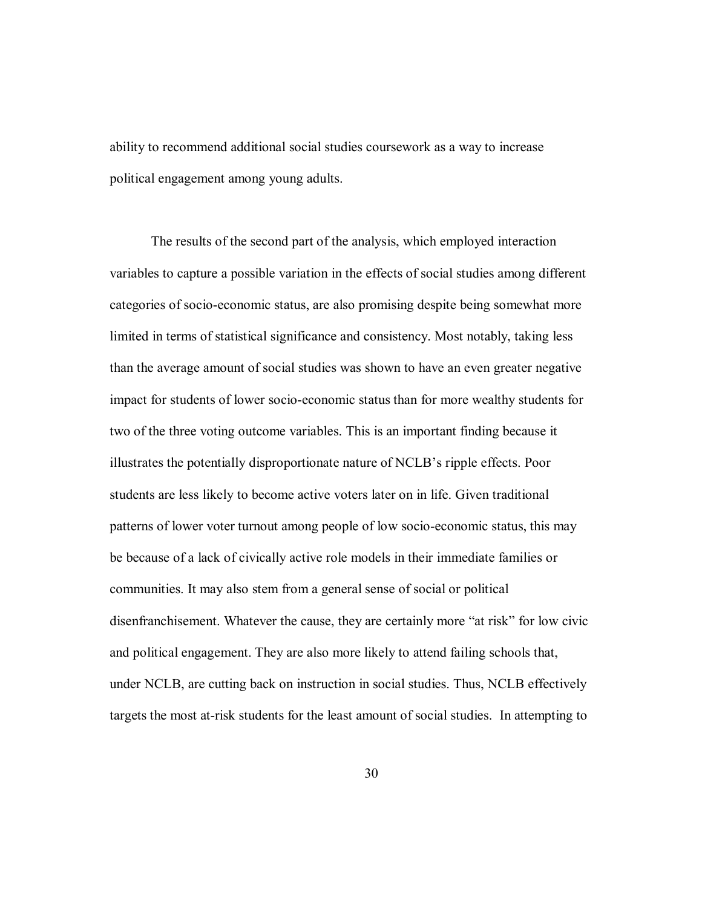ability to recommend additional social studies coursework as a way to increase political engagement among young adults.

The results of the second part of the analysis, which employed interaction variables to capture a possible variation in the effects of social studies among different categories of socio-economic status, are also promising despite being somewhat more limited in terms of statistical significance and consistency. Most notably, taking less than the average amount of social studies was shown to have an even greater negative impact for students of lower socio-economic status than for more wealthy students for two of the three voting outcome variables. This is an important finding because it illustrates the potentially disproportionate nature of NCLB's ripple effects. Poor students are less likely to become active voters later on in life. Given traditional patterns of lower voter turnout among people of low socio-economic status, this may be because of a lack of civically active role models in their immediate families or communities. It may also stem from a general sense of social or political disenfranchisement. Whatever the cause, they are certainly more "at risk" for low civic and political engagement. They are also more likely to attend failing schools that, under NCLB, are cutting back on instruction in social studies. Thus, NCLB effectively targets the most at-risk students for the least amount of social studies. In attempting to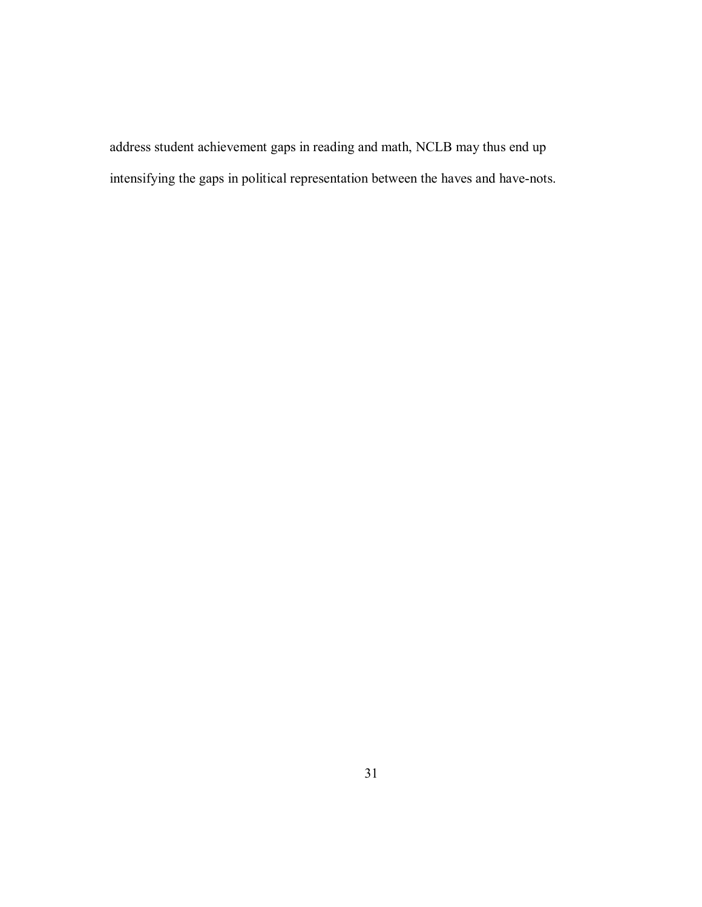address student achievement gaps in reading and math, NCLB may thus end up intensifying the gaps in political representation between the haves and have-nots.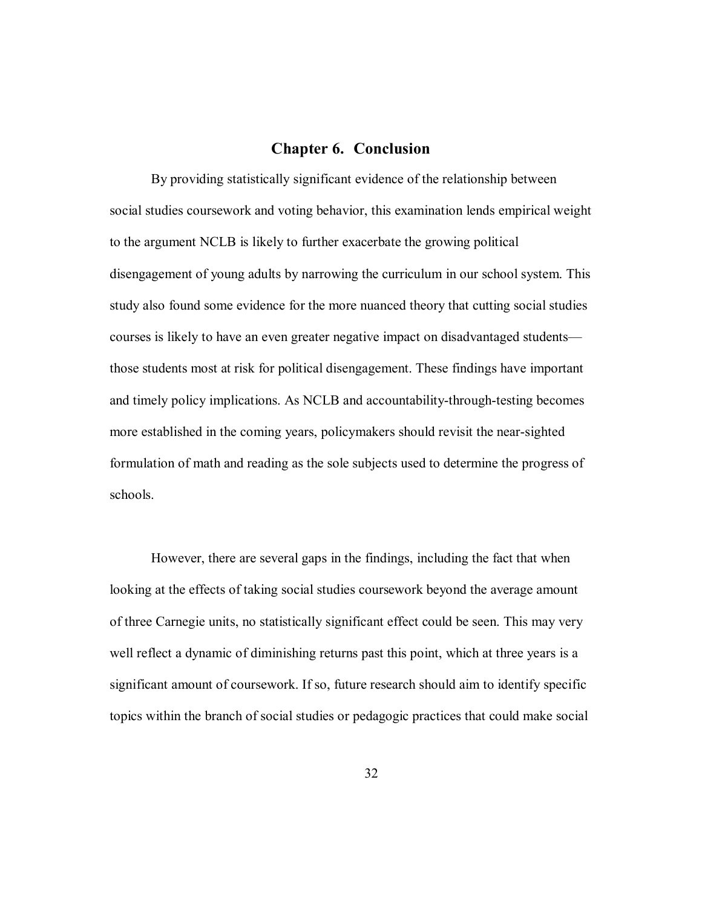#### **Chapter 6. Conclusion**

By providing statistically significant evidence of the relationship between social studies coursework and voting behavior, this examination lends empirical weight to the argument NCLB is likely to further exacerbate the growing political disengagement of young adults by narrowing the curriculum in our school system. This study also found some evidence for the more nuanced theory that cutting social studies courses is likely to have an even greater negative impact on disadvantaged students those students most at risk for political disengagement. These findings have important and timely policy implications. As NCLB and accountability-through-testing becomes more established in the coming years, policymakers should revisit the near-sighted formulation of math and reading as the sole subjects used to determine the progress of schools.

However, there are several gaps in the findings, including the fact that when looking at the effects of taking social studies coursework beyond the average amount of three Carnegie units, no statistically significant effect could be seen. This may very well reflect a dynamic of diminishing returns past this point, which at three years is a significant amount of coursework. If so, future research should aim to identify specific topics within the branch of social studies or pedagogic practices that could make social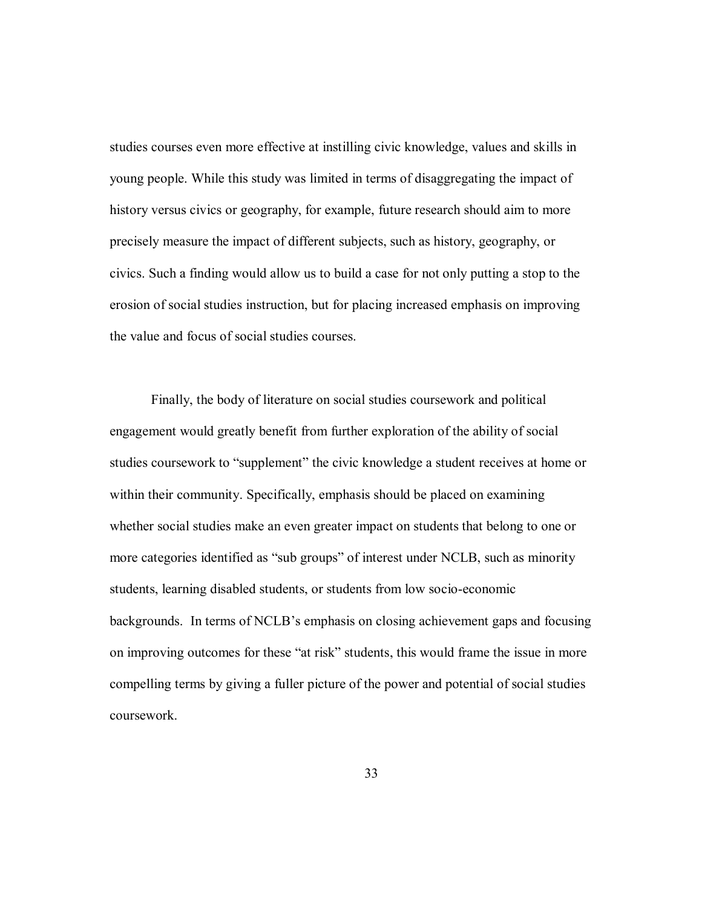studies courses even more effective at instilling civic knowledge, values and skills in young people. While this study was limited in terms of disaggregating the impact of history versus civics or geography, for example, future research should aim to more precisely measure the impact of different subjects, such as history, geography, or civics. Such a finding would allow us to build a case for not only putting a stop to the erosion of social studies instruction, but for placing increased emphasis on improving the value and focus of social studies courses.

Finally, the body of literature on social studies coursework and political engagement would greatly benefit from further exploration of the ability of social studies coursework to "supplement" the civic knowledge a student receives at home or within their community. Specifically, emphasis should be placed on examining whether social studies make an even greater impact on students that belong to one or more categories identified as "sub groups" of interest under NCLB, such as minority students, learning disabled students, or students from low socio-economic backgrounds. In terms of NCLB's emphasis on closing achievement gaps and focusing on improving outcomes for these "at risk" students, this would frame the issue in more compelling terms by giving a fuller picture of the power and potential of social studies coursework.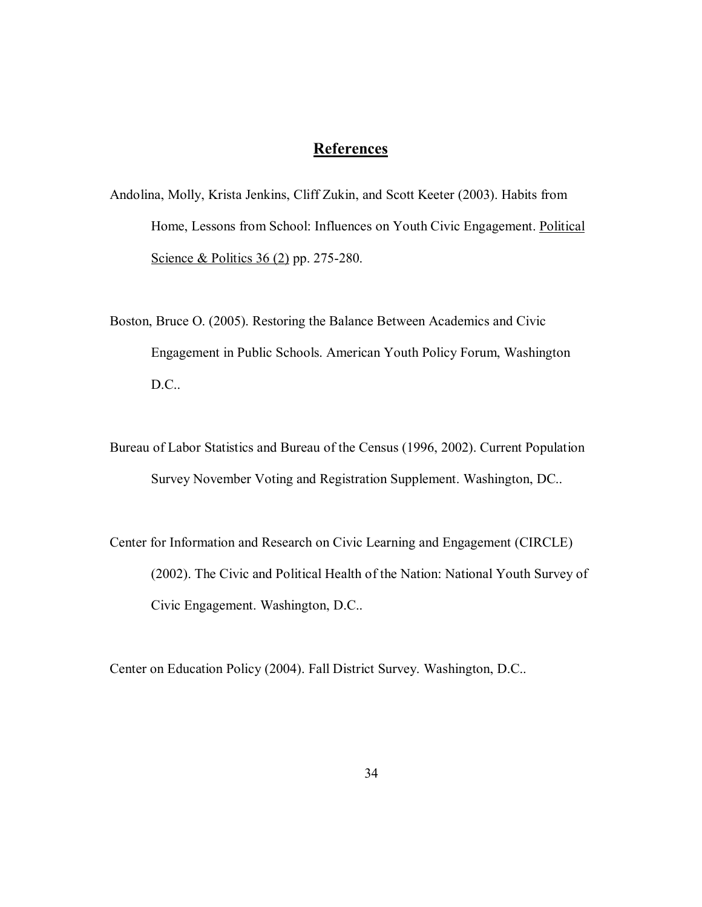# **References**

- Andolina, Molly, Krista Jenkins, Cliff Zukin, and Scott Keeter (2003). Habits from Home, Lessons from School: Influences on Youth Civic Engagement. Political Science & Politics 36 (2) pp. 275-280.
- Boston, Bruce O. (2005). Restoring the Balance Between Academics and Civic Engagement in Public Schools. American Youth Policy Forum, Washington D.C..
- Bureau of Labor Statistics and Bureau of the Census (1996, 2002). Current Population Survey November Voting and Registration Supplement. Washington, DC..
- Center for Information and Research on Civic Learning and Engagement (CIRCLE) (2002). The Civic and Political Health of the Nation: National Youth Survey of Civic Engagement. Washington, D.C..

Center on Education Policy (2004). Fall District Survey. Washington, D.C..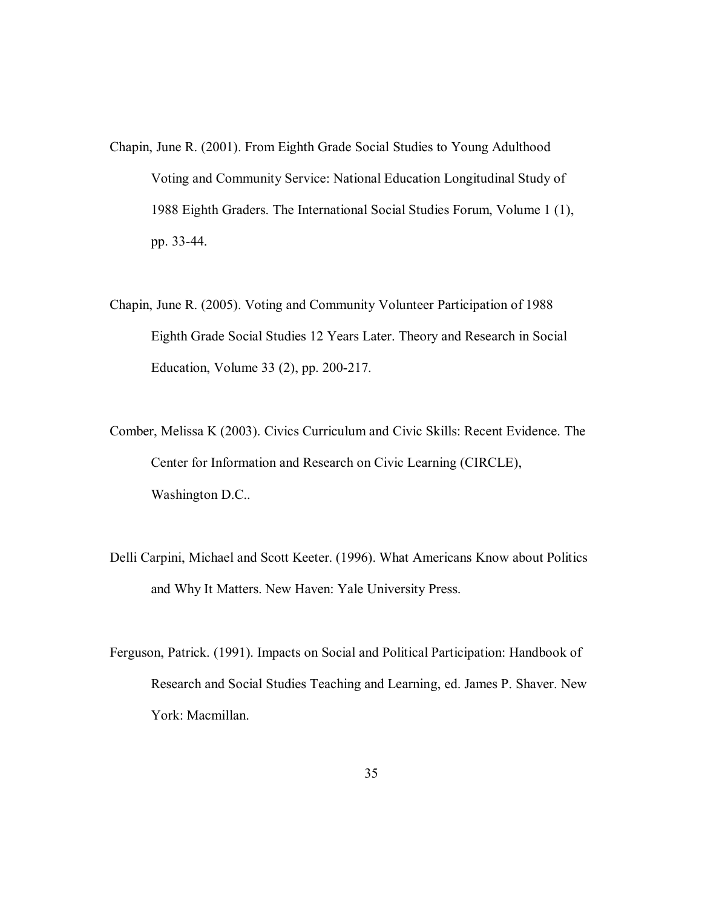- Chapin, June R. (2001). From Eighth Grade Social Studies to Young Adulthood Voting and Community Service: National Education Longitudinal Study of 1988 Eighth Graders. The International Social Studies Forum, Volume 1 (1), pp. 33-44.
- Chapin, June R. (2005). Voting and Community Volunteer Participation of 1988 Eighth Grade Social Studies 12 Years Later. Theory and Research in Social Education, Volume 33 (2), pp. 200-217.
- Comber, Melissa K (2003). Civics Curriculum and Civic Skills: Recent Evidence. The Center for Information and Research on Civic Learning (CIRCLE), Washington D.C..
- Delli Carpini, Michael and Scott Keeter. (1996). What Americans Know about Politics and Why It Matters. New Haven: Yale University Press.
- Ferguson, Patrick. (1991). Impacts on Social and Political Participation: Handbook of Research and Social Studies Teaching and Learning, ed. James P. Shaver. New York: Macmillan.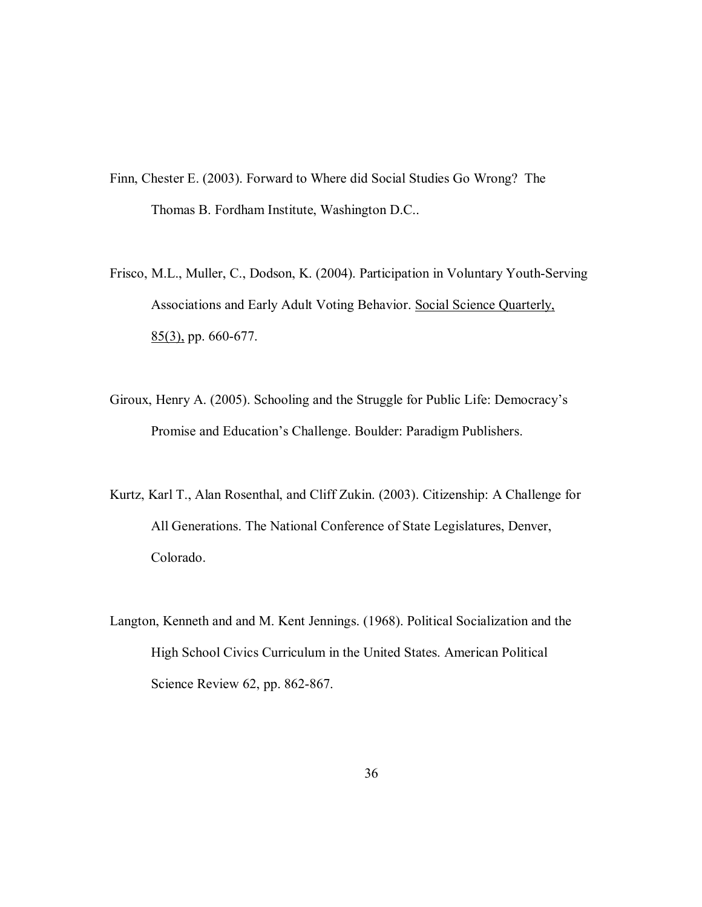- Finn, Chester E. (2003). Forward to Where did Social Studies Go Wrong? The Thomas B. Fordham Institute, Washington D.C..
- Frisco, M.L., Muller, C., Dodson, K. (2004). Participation in Voluntary Youth-Serving Associations and Early Adult Voting Behavior. Social Science Quarterly, 85(3), pp. 660-677.
- Giroux, Henry A. (2005). Schooling and the Struggle for Public Life: Democracy's Promise and Education's Challenge. Boulder: Paradigm Publishers.
- Kurtz, Karl T., Alan Rosenthal, and Cliff Zukin. (2003). Citizenship: A Challenge for All Generations. The National Conference of State Legislatures, Denver, Colorado.
- Langton, Kenneth and and M. Kent Jennings. (1968). Political Socialization and the High School Civics Curriculum in the United States. American Political Science Review 62, pp. 862-867.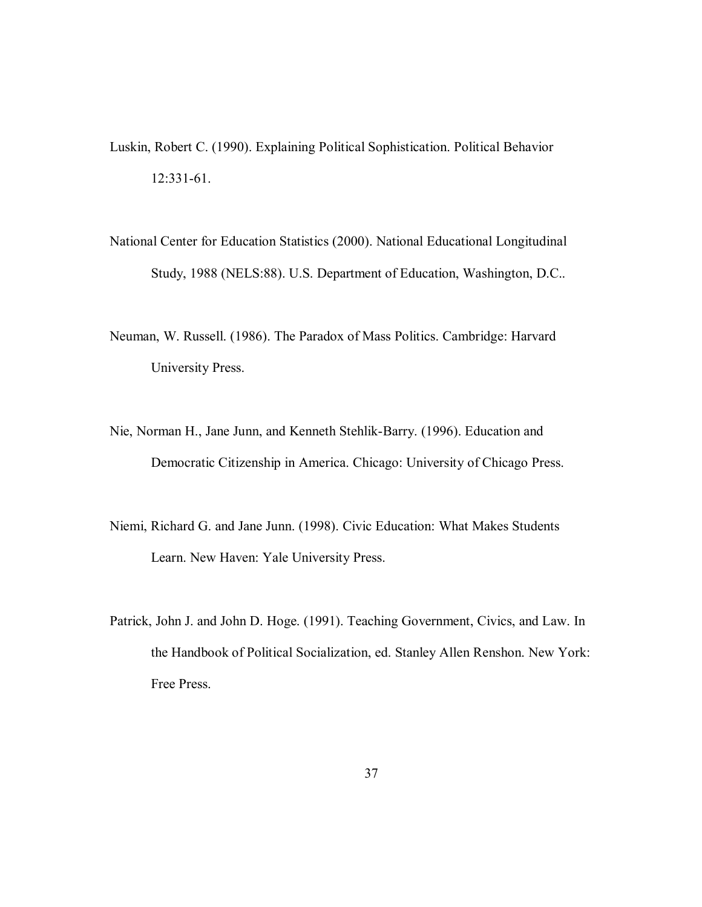- Luskin, Robert C. (1990). Explaining Political Sophistication. Political Behavior 12:331-61.
- National Center for Education Statistics (2000). National Educational Longitudinal Study, 1988 (NELS:88). U.S. Department of Education, Washington, D.C..
- Neuman, W. Russell. (1986). The Paradox of Mass Politics. Cambridge: Harvard University Press.
- Nie, Norman H., Jane Junn, and Kenneth Stehlik-Barry. (1996). Education and Democratic Citizenship in America. Chicago: University of Chicago Press.
- Niemi, Richard G. and Jane Junn. (1998). Civic Education: What Makes Students Learn. New Haven: Yale University Press.
- Patrick, John J. and John D. Hoge. (1991). Teaching Government, Civics, and Law. In the Handbook of Political Socialization, ed. Stanley Allen Renshon. New York: Free Press.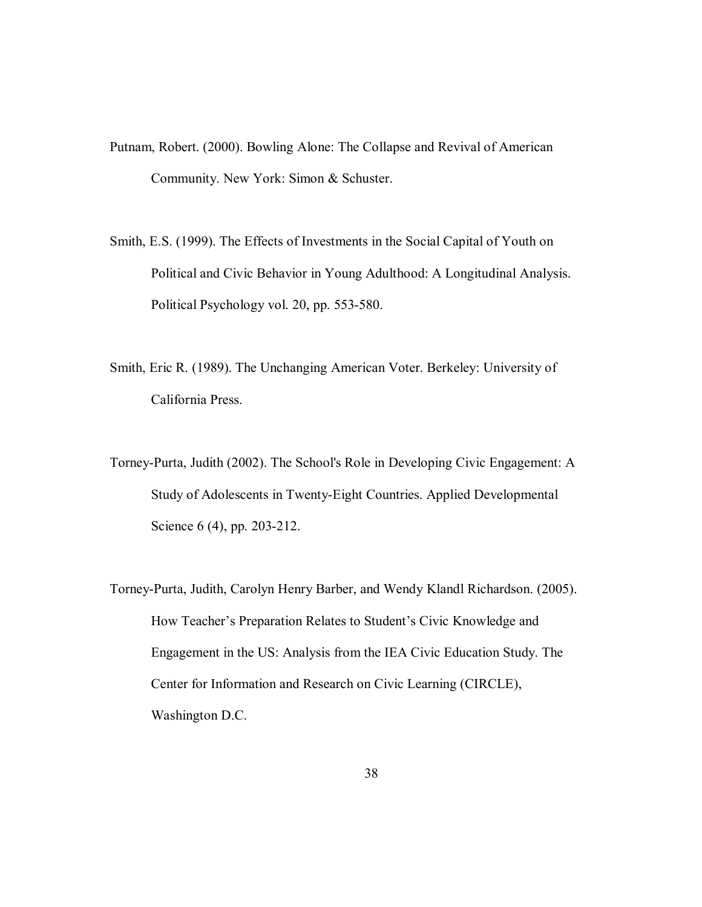- Putnam, Robert. (2000). Bowling Alone: The Collapse and Revival of American Community. New York: Simon & Schuster.
- Smith, E.S. (1999). The Effects of Investments in the Social Capital of Youth on Political and Civic Behavior in Young Adulthood: A Longitudinal Analysis. Political Psychology vol. 20, pp. 553-580.
- Smith, Eric R. (1989). The Unchanging American Voter. Berkeley: University of California Press.
- Torney-Purta, Judith (2002). The School's Role in Developing Civic Engagement: A Study of Adolescents in Twenty-Eight Countries. Applied Developmental Science 6 (4), pp. 203-212.
- Torney-Purta, Judith, Carolyn Henry Barber, and Wendy Klandl Richardson. (2005). How Teacher's Preparation Relates to Student's Civic Knowledge and Engagement in the US: Analysis from the IEA Civic Education Study. The Center for Information and Research on Civic Learning (CIRCLE), Washington D.C.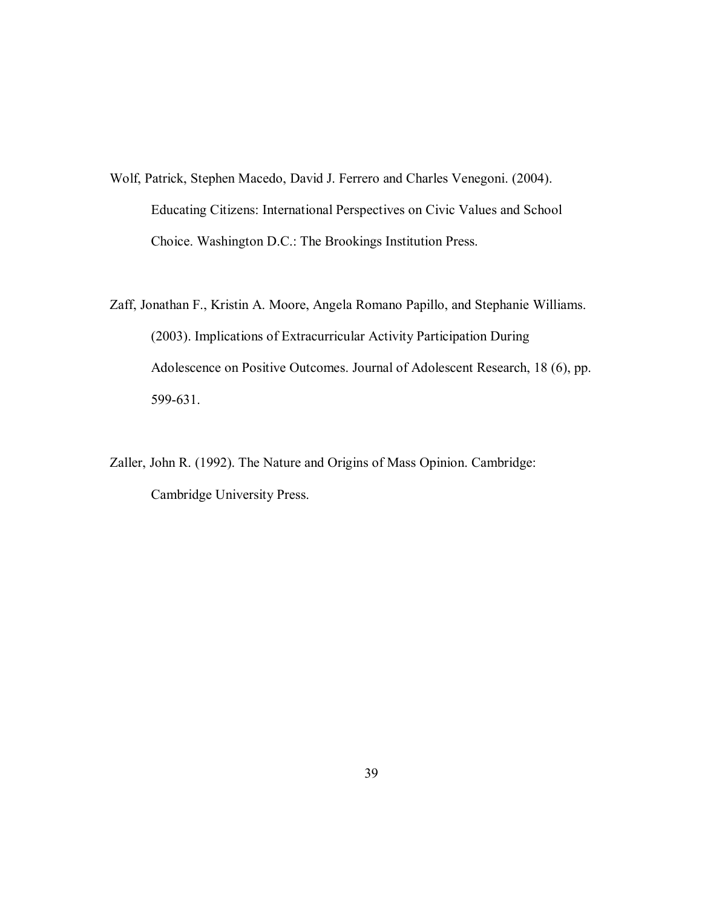- Wolf, Patrick, Stephen Macedo, David J. Ferrero and Charles Venegoni. (2004). Educating Citizens: International Perspectives on Civic Values and School Choice. Washington D.C.: The Brookings Institution Press.
- Zaff, Jonathan F., Kristin A. Moore, Angela Romano Papillo, and Stephanie Williams. (2003). Implications of Extracurricular Activity Participation During Adolescence on Positive Outcomes. Journal of Adolescent Research, 18 (6), pp. 599-631.
- Zaller, John R. (1992). The Nature and Origins of Mass Opinion. Cambridge: Cambridge University Press.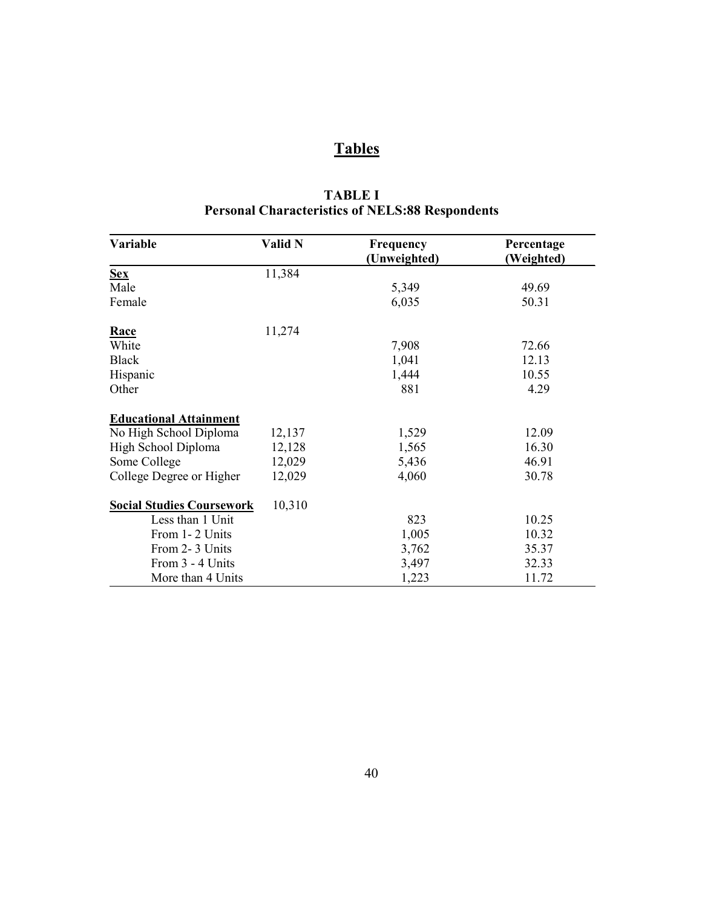# **Tables**

| Variable                         | Valid N | Frequency    | Percentage |
|----------------------------------|---------|--------------|------------|
|                                  |         | (Unweighted) | (Weighted) |
| <b>Sex</b>                       | 11,384  |              |            |
| Male                             |         | 5,349        | 49.69      |
| Female                           |         | 6,035        | 50.31      |
| Race                             | 11,274  |              |            |
| White                            |         | 7,908        | 72.66      |
| <b>Black</b>                     |         | 1,041        | 12.13      |
| Hispanic                         |         | 1,444        | 10.55      |
| Other                            |         | 881          | 4.29       |
| <b>Educational Attainment</b>    |         |              |            |
| No High School Diploma           | 12,137  | 1,529        | 12.09      |
| High School Diploma              | 12,128  | 1,565        | 16.30      |
| Some College                     | 12,029  | 5,436        | 46.91      |
| College Degree or Higher         | 12,029  | 4,060        | 30.78      |
| <b>Social Studies Coursework</b> | 10,310  |              |            |
| Less than 1 Unit                 |         | 823          | 10.25      |
| From 1-2 Units                   |         | 1,005        | 10.32      |
| From 2-3 Units                   |         | 3,762        | 35.37      |
| From 3 - 4 Units                 |         | 3,497        | 32.33      |
| More than 4 Units                |         | 1,223        | 11.72      |

# **TABLE I Personal Characteristics of NELS:88 Respondents**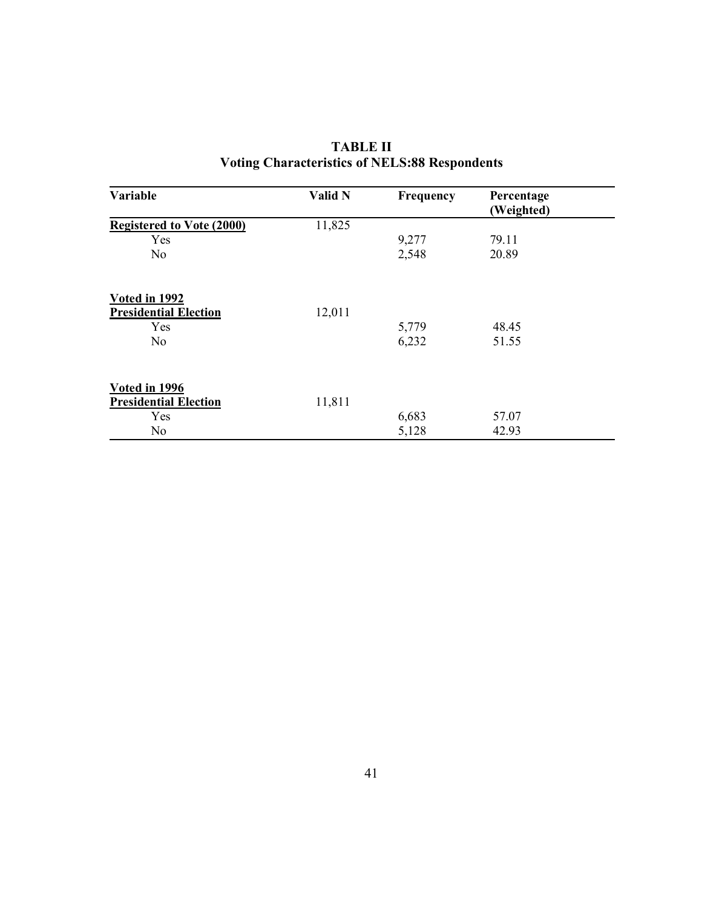| Variable                                                               | Valid N | Frequency      | Percentage<br>(Weighted) |  |
|------------------------------------------------------------------------|---------|----------------|--------------------------|--|
| <b>Registered to Vote (2000)</b>                                       | 11,825  |                |                          |  |
| Yes                                                                    |         | 9,277          | 79.11                    |  |
| No                                                                     |         | 2,548          | 20.89                    |  |
| Voted in 1992<br><b>Presidential Election</b><br>Yes<br>N <sub>o</sub> | 12,011  | 5,779<br>6,232 | 48.45<br>51.55           |  |
| Voted in 1996<br><b>Presidential Election</b><br>Yes                   | 11,811  | 6,683          | 57.07                    |  |
| N <sub>o</sub>                                                         |         | 5,128          | 42.93                    |  |

# **TABLE II Voting Characteristics of NELS:88 Respondents**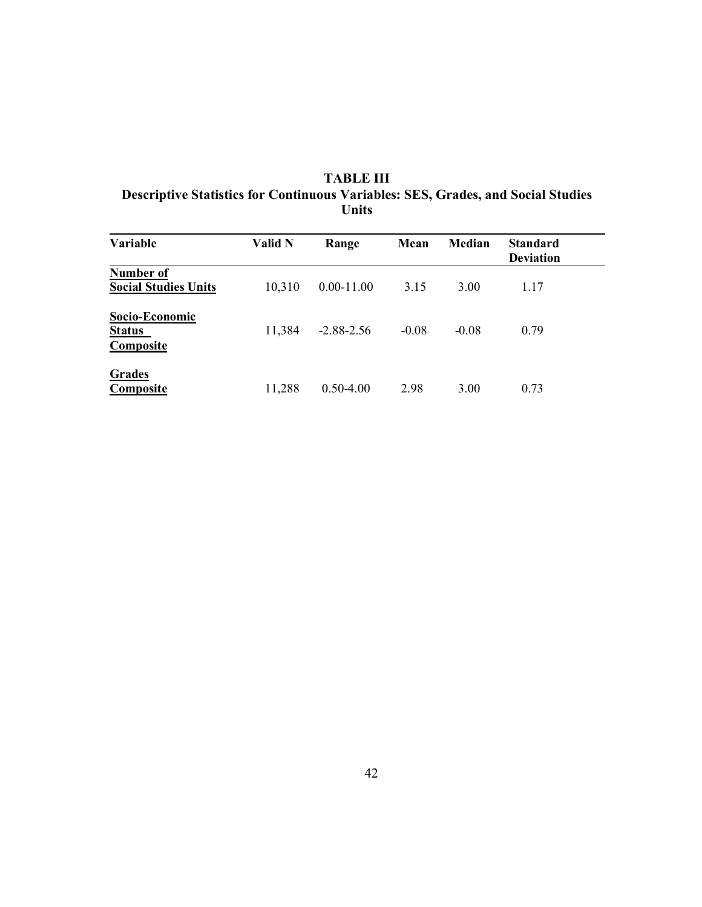| <b>TABLE III</b>                                                                 |
|----------------------------------------------------------------------------------|
| Descriptive Statistics for Continuous Variables: SES, Grades, and Social Studies |
| Units                                                                            |

| <b>Variable</b>                              | <b>Valid N</b> | Range          | Mean    | Median  | <b>Standard</b><br><b>Deviation</b> |  |
|----------------------------------------------|----------------|----------------|---------|---------|-------------------------------------|--|
| Number of<br><b>Social Studies Units</b>     | 10,310         | $0.00 - 11.00$ | 3.15    | 3.00    | 1.17                                |  |
| Socio-Economic<br><b>Status</b><br>Composite | 11,384         | $-2.88 - 2.56$ | $-0.08$ | $-0.08$ | 0.79                                |  |
| Grades<br><b>Composite</b>                   | 11,288         | $0.50 - 4.00$  | 2.98    | 3.00    | 0.73                                |  |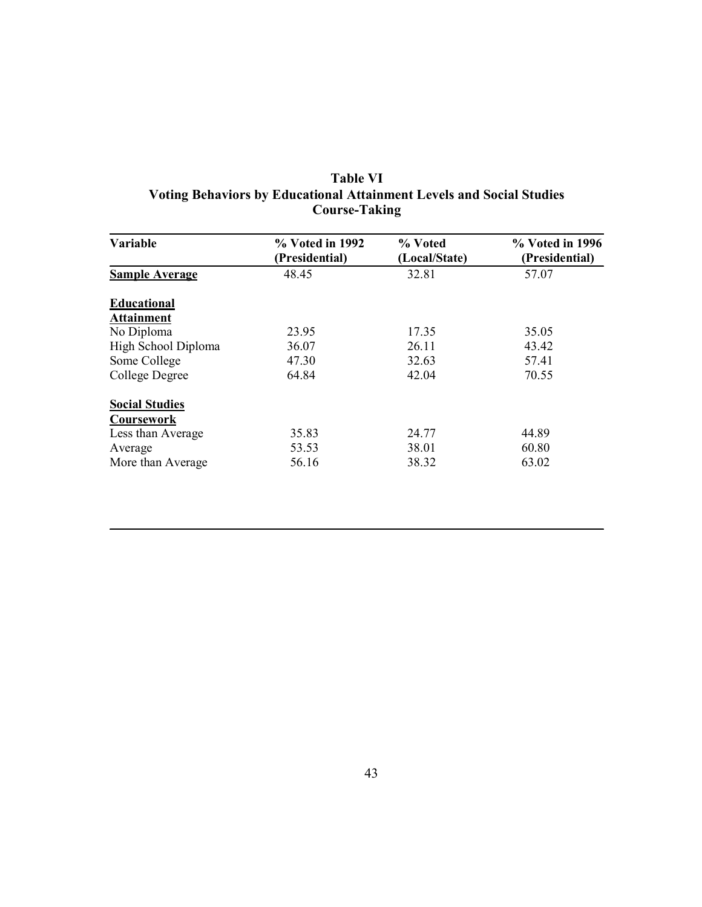| Variable              | $\%$ Voted in 1992<br>(Presidential) | % Voted<br>(Local/State) | % Voted in 1996<br>(Presidential) |
|-----------------------|--------------------------------------|--------------------------|-----------------------------------|
| <b>Sample Average</b> | 48.45                                | 32.81                    | 57.07                             |
| <b>Educational</b>    |                                      |                          |                                   |
| <b>Attainment</b>     |                                      |                          |                                   |
| No Diploma            | 23.95                                | 17.35                    | 35.05                             |
| High School Diploma   | 36.07                                | 26.11                    | 43.42                             |
| Some College          | 47.30                                | 32.63                    | 57.41                             |
| College Degree        | 64.84                                | 42.04                    | 70.55                             |
| <b>Social Studies</b> |                                      |                          |                                   |
| Coursework            |                                      |                          |                                   |
| Less than Average     | 35.83                                | 24.77                    | 44.89                             |
| Average               | 53.53                                | 38.01                    | 60.80                             |
| More than Average     | 56.16                                | 38.32                    | 63.02                             |

## **Table VI Voting Behaviors by Educational Attainment Levels and Social Studies Course-Taking**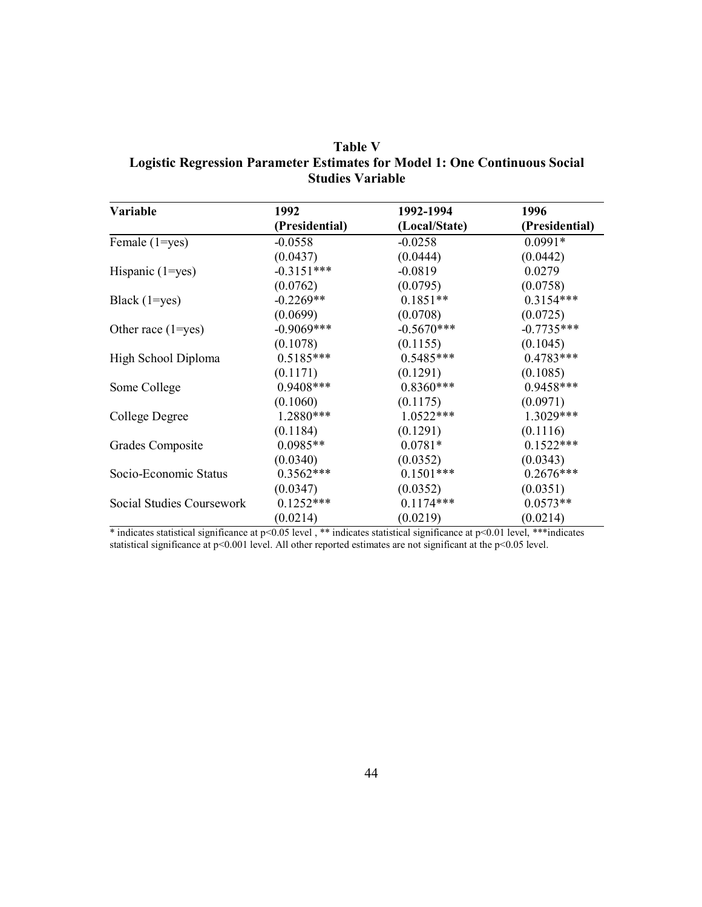| <b>Table V</b>                                                             |
|----------------------------------------------------------------------------|
| Logistic Regression Parameter Estimates for Model 1: One Continuous Social |
| <b>Studies Variable</b>                                                    |

| Variable                  | 1992           | 1992-1994     | 1996           |
|---------------------------|----------------|---------------|----------------|
|                           | (Presidential) | (Local/State) | (Presidential) |
| Female (1=yes)            | $-0.0558$      | $-0.0258$     | $0.0991*$      |
|                           | (0.0437)       | (0.0444)      | (0.0442)       |
| Hispanic $(1 = yes)$      | $-0.3151***$   | $-0.0819$     | 0.0279         |
|                           | (0.0762)       | (0.0795)      | (0.0758)       |
| Black $(1 = yes)$         | $-0.2269**$    | $0.1851**$    | $0.3154***$    |
|                           | (0.0699)       | (0.0708)      | (0.0725)       |
| Other race $(1 = yes)$    | $-0.9069$ ***  | $-0.5670***$  | $-0.7735***$   |
|                           | (0.1078)       | (0.1155)      | (0.1045)       |
| High School Diploma       | $0.5185***$    | $0.5485***$   | $0.4783***$    |
|                           | (0.1171)       | (0.1291)      | (0.1085)       |
| Some College              | $0.9408***$    | $0.8360***$   | $0.9458***$    |
|                           | (0.1060)       | (0.1175)      | (0.0971)       |
| College Degree            | 1.2880***      | $1.0522***$   | $1.3029***$    |
|                           | (0.1184)       | (0.1291)      | (0.1116)       |
| Grades Composite          | $0.0985**$     | $0.0781*$     | $0.1522***$    |
|                           | (0.0340)       | (0.0352)      | (0.0343)       |
| Socio-Economic Status     | $0.3562***$    | $0.1501***$   | $0.2676***$    |
|                           | (0.0347)       | (0.0352)      | (0.0351)       |
| Social Studies Coursework | $0.1252***$    | $0.1174***$   | $0.0573**$     |
|                           | (0.0214)       | (0.0219)      | (0.0214)       |

\* indicates statistical significance at p<0.05 level , \*\* indicates statistical significance at p<0.01 level, \*\*\*indicates statistical significance at p<0.001 level. All other reported estimates are not significant at the p<0.05 level.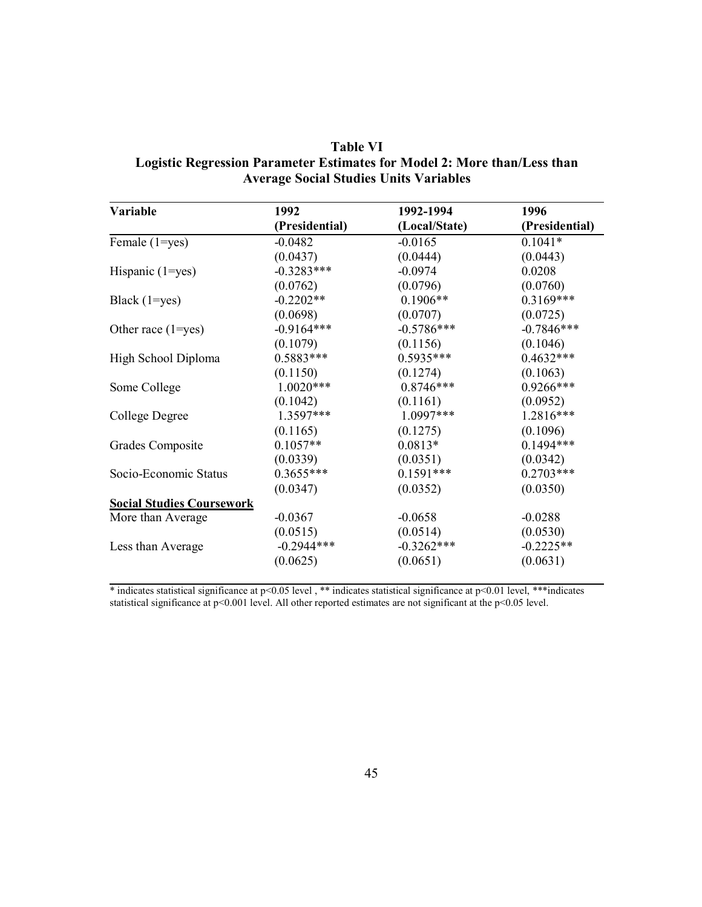| <b>Table VI</b>                                                          |
|--------------------------------------------------------------------------|
| Logistic Regression Parameter Estimates for Model 2: More than/Less than |
| <b>Average Social Studies Units Variables</b>                            |

| 1992           | 1992-1994     | 1996           |
|----------------|---------------|----------------|
| (Presidential) | (Local/State) | (Presidential) |
| $-0.0482$      | $-0.0165$     | $0.1041*$      |
| (0.0437)       | (0.0444)      | (0.0443)       |
| $-0.3283***$   | $-0.0974$     | 0.0208         |
| (0.0762)       | (0.0796)      | (0.0760)       |
| $-0.2202**$    | $0.1906**$    | $0.3169***$    |
| (0.0698)       | (0.0707)      | (0.0725)       |
| $-0.9164***$   | $-0.5786***$  | $-0.7846***$   |
| (0.1079)       | (0.1156)      | (0.1046)       |
| $0.5883***$    | $0.5935***$   | $0.4632***$    |
| (0.1150)       | (0.1274)      | (0.1063)       |
| $1.0020***$    | $0.8746***$   | $0.9266***$    |
| (0.1042)       | (0.1161)      | (0.0952)       |
| $1.3597***$    | $1.0997***$   | $1.2816***$    |
| (0.1165)       | (0.1275)      | (0.1096)       |
| $0.1057**$     | $0.0813*$     | $0.1494***$    |
| (0.0339)       | (0.0351)      | (0.0342)       |
| $0.3655***$    | $0.1591***$   | $0.2703***$    |
| (0.0347)       | (0.0352)      | (0.0350)       |
|                |               |                |
| $-0.0367$      | $-0.0658$     | $-0.0288$      |
| (0.0515)       | (0.0514)      | (0.0530)       |
| $-0.2944***$   | $-0.3262***$  | $-0.2225**$    |
| (0.0625)       | (0.0651)      | (0.0631)       |
|                |               |                |

\* indicates statistical significance at p<0.05 level , \*\* indicates statistical significance at p<0.01 level, \*\*\*indicates statistical significance at p<0.001 level. All other reported estimates are not significant at the p<0.05 level.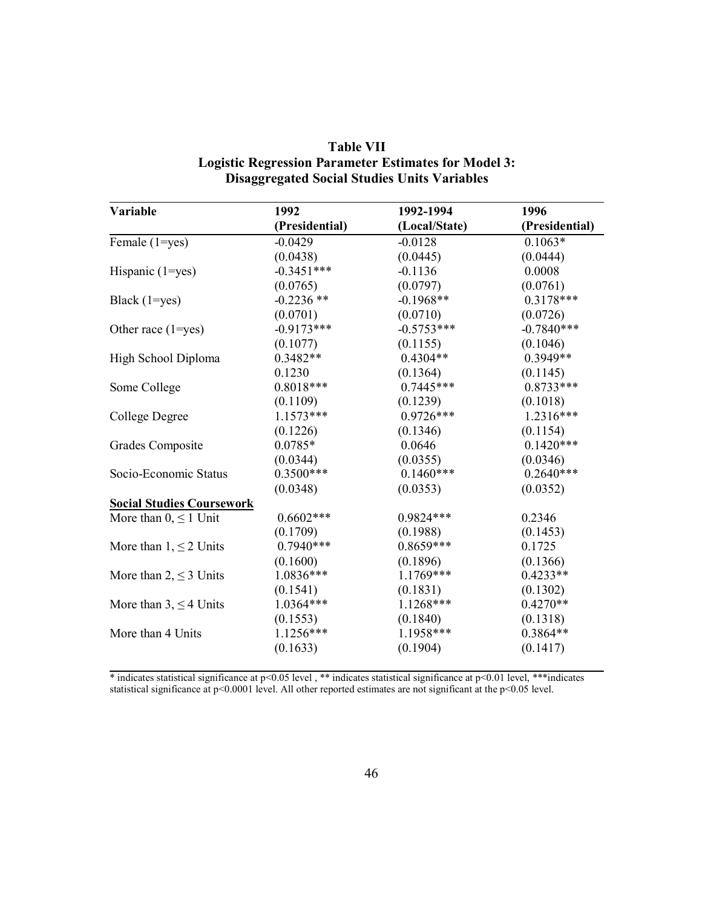| (Local/State)<br>(Presidential)<br>Female (1=yes)<br>$-0.0429$<br>$-0.0128$<br>(0.0438)<br>(0.0445)<br>$-0.3451***$<br>Hispanic $(1 = yes)$<br>$-0.1136$<br>(0.0797)<br>(0.0765)<br>$-0.2236$ **<br>$-0.1968**$<br>Black $(1 = yes)$<br>(0.0701)<br>(0.0710)<br>$-0.5753***$<br>$-0.9173***$<br>Other race $(1 = yes)$<br>(0.1077)<br>(0.1155)<br>$0.3482**$<br>$0.4304**$<br>High School Diploma<br>0.1230<br>(0.1364)<br>$0.8018***$<br>$0.7445***$<br>Some College<br>(0.1109)<br>(0.1239)<br>$0.9726***$<br>$1.1573***$<br>College Degree<br>(0.1346)<br>(0.1226)<br>$0.0785*$<br>0.0646<br>Grades Composite<br>(0.0344)<br>(0.0355)<br>$0.3500***$<br>$0.1460***$<br>Socio-Economic Status<br>(0.0348)<br>(0.0353)<br><b>Social Studies Coursework</b><br>$0.6602***$<br>$0.9824***$<br>More than $0 \leq 1$ Unit<br>(0.1709)<br>(0.1988) | (Presidential)<br>$0.1063*$<br>(0.0444)<br>0.0008<br>(0.0761)<br>$0.3178***$<br>(0.0726)<br>$-0.7840***$ |
|------------------------------------------------------------------------------------------------------------------------------------------------------------------------------------------------------------------------------------------------------------------------------------------------------------------------------------------------------------------------------------------------------------------------------------------------------------------------------------------------------------------------------------------------------------------------------------------------------------------------------------------------------------------------------------------------------------------------------------------------------------------------------------------------------------------------------------------------|----------------------------------------------------------------------------------------------------------|
|                                                                                                                                                                                                                                                                                                                                                                                                                                                                                                                                                                                                                                                                                                                                                                                                                                                |                                                                                                          |
|                                                                                                                                                                                                                                                                                                                                                                                                                                                                                                                                                                                                                                                                                                                                                                                                                                                |                                                                                                          |
|                                                                                                                                                                                                                                                                                                                                                                                                                                                                                                                                                                                                                                                                                                                                                                                                                                                |                                                                                                          |
|                                                                                                                                                                                                                                                                                                                                                                                                                                                                                                                                                                                                                                                                                                                                                                                                                                                |                                                                                                          |
|                                                                                                                                                                                                                                                                                                                                                                                                                                                                                                                                                                                                                                                                                                                                                                                                                                                |                                                                                                          |
|                                                                                                                                                                                                                                                                                                                                                                                                                                                                                                                                                                                                                                                                                                                                                                                                                                                |                                                                                                          |
|                                                                                                                                                                                                                                                                                                                                                                                                                                                                                                                                                                                                                                                                                                                                                                                                                                                |                                                                                                          |
|                                                                                                                                                                                                                                                                                                                                                                                                                                                                                                                                                                                                                                                                                                                                                                                                                                                |                                                                                                          |
|                                                                                                                                                                                                                                                                                                                                                                                                                                                                                                                                                                                                                                                                                                                                                                                                                                                | (0.1046)                                                                                                 |
|                                                                                                                                                                                                                                                                                                                                                                                                                                                                                                                                                                                                                                                                                                                                                                                                                                                | $0.3949**$                                                                                               |
|                                                                                                                                                                                                                                                                                                                                                                                                                                                                                                                                                                                                                                                                                                                                                                                                                                                | (0.1145)                                                                                                 |
|                                                                                                                                                                                                                                                                                                                                                                                                                                                                                                                                                                                                                                                                                                                                                                                                                                                | $0.8733***$                                                                                              |
|                                                                                                                                                                                                                                                                                                                                                                                                                                                                                                                                                                                                                                                                                                                                                                                                                                                | (0.1018)                                                                                                 |
|                                                                                                                                                                                                                                                                                                                                                                                                                                                                                                                                                                                                                                                                                                                                                                                                                                                | $1.2316***$                                                                                              |
|                                                                                                                                                                                                                                                                                                                                                                                                                                                                                                                                                                                                                                                                                                                                                                                                                                                | (0.1154)                                                                                                 |
|                                                                                                                                                                                                                                                                                                                                                                                                                                                                                                                                                                                                                                                                                                                                                                                                                                                | $0.1420***$                                                                                              |
|                                                                                                                                                                                                                                                                                                                                                                                                                                                                                                                                                                                                                                                                                                                                                                                                                                                | (0.0346)                                                                                                 |
|                                                                                                                                                                                                                                                                                                                                                                                                                                                                                                                                                                                                                                                                                                                                                                                                                                                | $0.2640***$                                                                                              |
|                                                                                                                                                                                                                                                                                                                                                                                                                                                                                                                                                                                                                                                                                                                                                                                                                                                | (0.0352)                                                                                                 |
|                                                                                                                                                                                                                                                                                                                                                                                                                                                                                                                                                                                                                                                                                                                                                                                                                                                |                                                                                                          |
|                                                                                                                                                                                                                                                                                                                                                                                                                                                                                                                                                                                                                                                                                                                                                                                                                                                | 0.2346                                                                                                   |
|                                                                                                                                                                                                                                                                                                                                                                                                                                                                                                                                                                                                                                                                                                                                                                                                                                                | (0.1453)                                                                                                 |
| $0.7940***$<br>$0.8659***$<br>More than $1, \leq 2$ Units                                                                                                                                                                                                                                                                                                                                                                                                                                                                                                                                                                                                                                                                                                                                                                                      | 0.1725                                                                                                   |
| (0.1600)<br>(0.1896)                                                                                                                                                                                                                                                                                                                                                                                                                                                                                                                                                                                                                                                                                                                                                                                                                           | (0.1366)                                                                                                 |
| 1.0836***<br>$1.1769***$<br>More than $2, \leq 3$ Units                                                                                                                                                                                                                                                                                                                                                                                                                                                                                                                                                                                                                                                                                                                                                                                        | $0.4233**$                                                                                               |
| (0.1831)<br>(0.1541)                                                                                                                                                                                                                                                                                                                                                                                                                                                                                                                                                                                                                                                                                                                                                                                                                           | (0.1302)                                                                                                 |
| $1.0364***$<br>$1.1268***$<br>More than $3, \leq 4$ Units                                                                                                                                                                                                                                                                                                                                                                                                                                                                                                                                                                                                                                                                                                                                                                                      | $0.4270**$                                                                                               |
| (0.1553)<br>(0.1840)                                                                                                                                                                                                                                                                                                                                                                                                                                                                                                                                                                                                                                                                                                                                                                                                                           | (0.1318)                                                                                                 |
| $1.1256***$<br>1.1958***<br>More than 4 Units                                                                                                                                                                                                                                                                                                                                                                                                                                                                                                                                                                                                                                                                                                                                                                                                  | $0.3864**$                                                                                               |
| (0.1633)<br>(0.1904)                                                                                                                                                                                                                                                                                                                                                                                                                                                                                                                                                                                                                                                                                                                                                                                                                           |                                                                                                          |

| <b>Table VII</b>                                            |
|-------------------------------------------------------------|
| <b>Logistic Regression Parameter Estimates for Model 3:</b> |
| <b>Disaggregated Social Studies Units Variables</b>         |

\* indicates statistical significance at p<0.05 level , \*\* indicates statistical significance at p<0.01 level, \*\*\*indicates statistical significance at p<0.0001 level. All other reported estimates are not significant at the p<0.05 level.